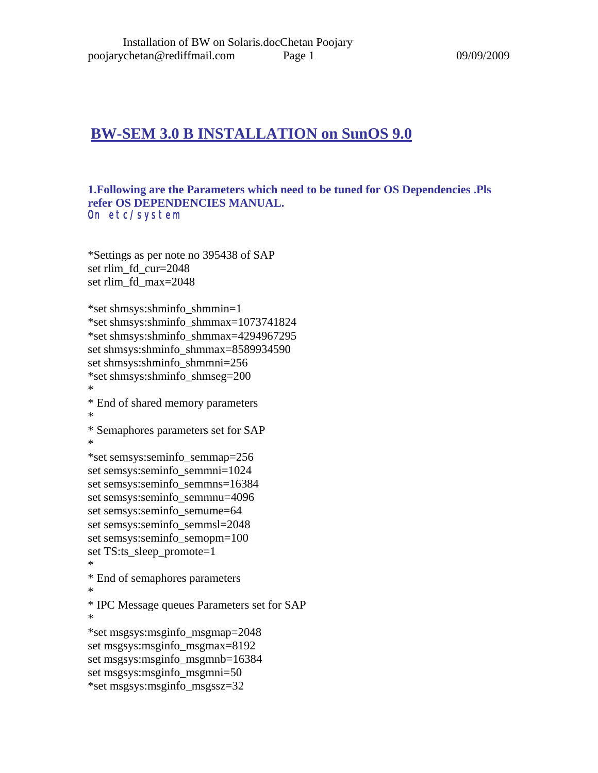## **BW-SEM 3.0 B INSTALLATION on SunOS 9.0**

#### **1.Following are the Parameters which need to be tuned for OS Dependencies .Pls refer OS DEPENDENCIES MANUAL.**  On etc/system

\*Settings as per note no 395438 of SAP set rlim\_fd\_cur=2048 set rlim\_fd\_max=2048

\*set shmsys:shminfo\_shmmin=1 \*set shmsys:shminfo\_shmmax=1073741824 \*set shmsys:shminfo\_shmmax=4294967295 set shmsys:shminfo\_shmmax=8589934590 set shmsys:shminfo\_shmmni=256 \*set shmsys:shminfo\_shmseg=200 \* \* End of shared memory parameters \* \* Semaphores parameters set for SAP \* \*set semsys:seminfo\_semmap=256 set semsys:seminfo\_semmni=1024 set semsys:seminfo\_semmns=16384 set semsys:seminfo\_semmnu=4096 set semsys:seminfo\_semume=64 set semsys:seminfo\_semmsl=2048 set semsys: seminfo\_semopm=100 set TS:ts\_sleep\_promote=1 \* \* End of semaphores parameters \* \* IPC Message queues Parameters set for SAP \* \*set msgsys:msginfo\_msgmap=2048 set msgsys:msginfo\_msgmax=8192 set msgsys:msginfo\_msgmnb=16384 set msgsys:msginfo\_msgmni=50 \*set msgsys:msginfo\_msgssz=32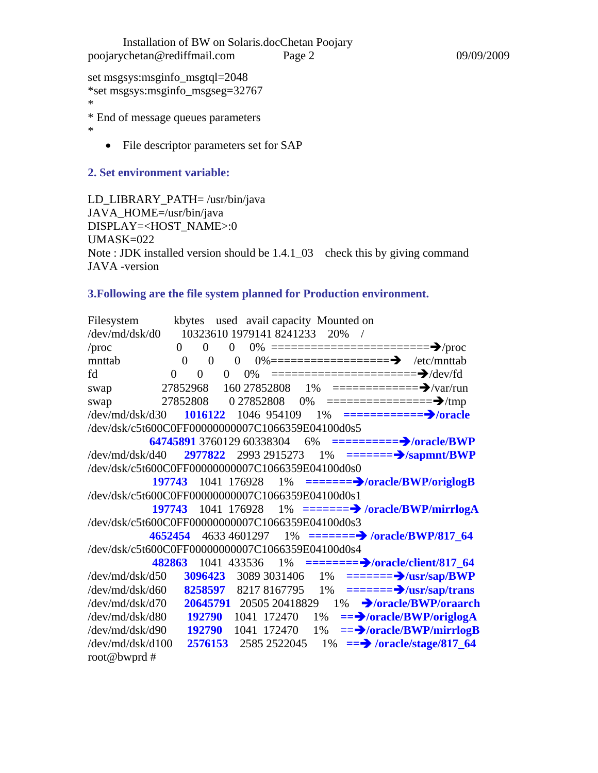set msgsys:msginfo\_msgtql=2048 \*set msgsys:msginfo\_msgseg=32767 \*

\* End of message queues parameters

\*

• File descriptor parameters set for SAP

#### **2. Set environment variable:**

LD\_LIBRARY\_PATH= /usr/bin/java JAVA\_HOME=/usr/bin/java DISPLAY=<HOST\_NAME>:0 UMASK=022 Note : JDK installed version should be  $1.4.1\text{\textendash}03$  check this by giving command JAVA -version

#### **3.Following are the file system planned for Production environment.**

| Filesystem                                       |                |                | kbytes used avail capacity Mounted on |              |    |  |                                                                |
|--------------------------------------------------|----------------|----------------|---------------------------------------|--------------|----|--|----------------------------------------------------------------|
| /dev/md/dsk/d0                                   |                |                | 10323610 1979141 8241233 20%          |              |    |  |                                                                |
| /proc                                            | $\overline{0}$ | $\mathbf{0}$   | $\overline{0}$                        |              |    |  | 0% =============================> $\rightarrow$ /proc          |
| mnttab                                           | $\overline{0}$ | $\overline{0}$ | $\overline{0}$                        |              |    |  | $0\%$ ==================== → /etc/mnttab                       |
| fd                                               | $\theta$       | $\Omega$<br>0  | 0%                                    |              |    |  |                                                                |
| swap                                             | 27852968       |                | 160 27852808                          |              |    |  | $1\%$ ============== $\rightarrow$ /var/run                    |
| swap                                             | 27852808       |                |                                       |              |    |  |                                                                |
| /dev/md/dsk/d30                                  |                |                |                                       |              |    |  | 1016122 1046 954109 1% ==============>/oracle                  |
| /dev/dsk/c5t600C0FF00000000007C1066359E04100d0s5 |                |                |                                       |              |    |  |                                                                |
|                                                  |                |                |                                       |              |    |  | 64745891 3760129 60338304 6% ===========>/oracle/BWP           |
| $\frac{deg}{mag}$ /dev/md/dsk/d40                |                |                |                                       |              |    |  | 2977822 2993 2915273 1% ========> /sapmnt/BWP                  |
| /dev/dsk/c5t600C0FF00000000007C1066359E04100d0s0 |                |                |                                       |              |    |  |                                                                |
|                                                  | 197743         |                |                                       |              |    |  | $1041 \t176928 \t1\% = = = = = = \n\sqrt{oracle/BWP/criglogB}$ |
| /dev/dsk/c5t600C0FF00000000007C1066359E04100d0s1 |                |                |                                       |              |    |  |                                                                |
|                                                  |                |                |                                       |              |    |  | 197743 1041 176928 1% =======> /oracle/BWP/mirrlogA            |
| /dev/dsk/c5t600C0FF00000000007C1066359E04100d0s3 |                |                |                                       |              |    |  |                                                                |
|                                                  | 4652454        |                |                                       |              |    |  | 4633 4601297 1% ======= > /oracle/BWP/817_64                   |
| /dev/dsk/c5t600C0FF00000000007C1066359E04100d0s4 |                |                |                                       |              |    |  |                                                                |
|                                                  | 482863         |                |                                       |              |    |  | 1041 433536 1% ======== $\rightarrow$ /oracle/client/817_64    |
| $\frac{deg/mol}{dsk}/d50$                        |                | 3096423        |                                       | 3089 3031406 |    |  | $1\%$ ======= $\rightarrow$ /usr/sap/BWP                       |
| /dev/md/dsk/d60                                  |                | 8258597        |                                       |              |    |  | 8217 8167795 1% ======= $\rightarrow$ /usr/sap/trans           |
| /dev/md/dsk/d70                                  |                |                | 20645791 20505 20418829               |              |    |  | 1% → /oracle/BWP/oraarch                                       |
| /dev/md/dsk/d80                                  |                | 192790         | 1041 172470                           |              | 1% |  | $==$ /oracle/BWP/origlogA                                      |
| /dev/md/dsk/d90                                  |                | 192790         |                                       | 1041 172470  | 1% |  | == Voracle/BWP/mirrlogB                                        |
| $\frac{deg/mol}{dsk/d100}$                       |                | 2576153        |                                       | 2585 2522045 |    |  | $1\% = \Rightarrow$ /oracle/stage/817_64                       |
| root@bwprd#                                      |                |                |                                       |              |    |  |                                                                |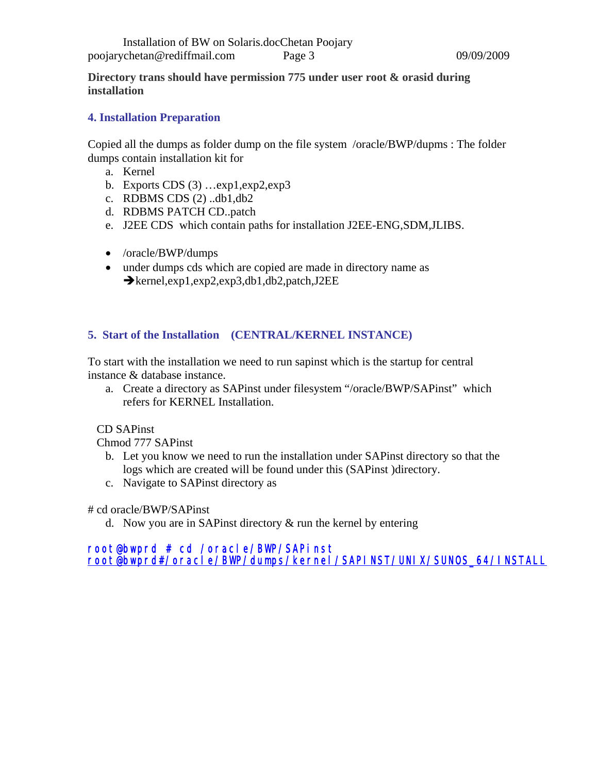**Directory trans should have permission 775 under user root & orasid during installation** 

#### **4. Installation Preparation**

Copied all the dumps as folder dump on the file system /oracle/BWP/dupms : The folder dumps contain installation kit for

- a. Kernel
- b. Exports CDS  $(3)$  ...  $exp1, exp2, exp3$
- c. RDBMS CDS (2) ..db1,db2
- d. RDBMS PATCH CD..patch
- e. J2EE CDS which contain paths for installation J2EE-ENG,SDM,JLIBS.
- /oracle/BWP/dumps
- under dumps cds which are copied are made in directory name as  $\rightarrow$ kernel,exp1,exp2,exp3,db1,db2,patch,J2EE

#### **5. Start of the Installation (CENTRAL/KERNEL INSTANCE)**

To start with the installation we need to run sapinst which is the startup for central instance & database instance.

a. Create a directory as SAPinst under filesystem "/oracle/BWP/SAPinst" which refers for KERNEL Installation.

#### CD SAPinst

Chmod 777 SAPinst

- b. Let you know we need to run the installation under SAPinst directory so that the logs which are created will be found under this (SAPinst )directory.
- c. Navigate to SAPinst directory as

# cd oracle/BWP/SAPinst

d. Now you are in SAP inst directory  $\&$  run the kernel by entering

root@bwprd # cd /oracle/BWP/SAPinst [root@bwprd#/oracle/BWP/dumps/kernel/SAPINST/UNIX/SUNOS\\_64/INSTALL](mailto:root@bwprd%23/oracle/BWP/dumps/kernel/SAPINST/UNIX/SUNOS_64/INSTALL)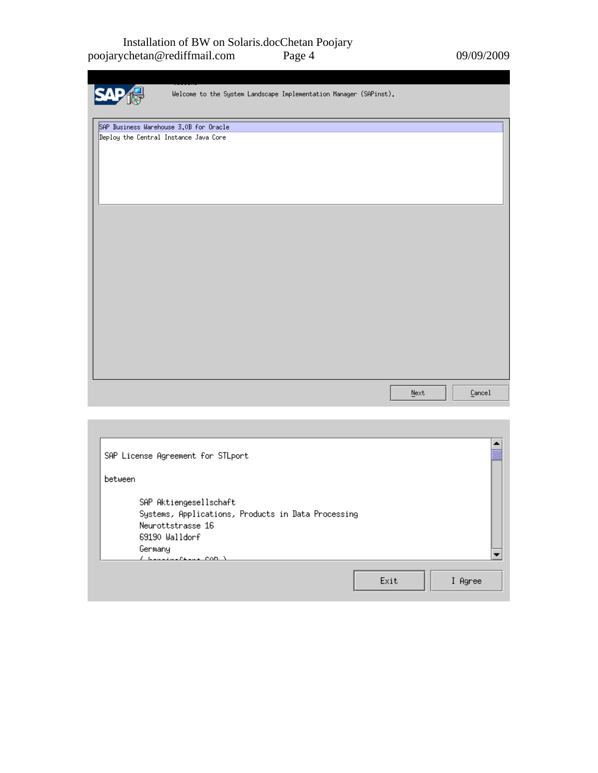#### Installation of BW on Solaris.docChetan Poojary poojarychetan@rediffmail.com Page 4 09/09/2009

| Welcome to the System Landscape Implementation Manager (SAPinst). |                          |        |
|-------------------------------------------------------------------|--------------------------|--------|
| SAP Business Warehouse 3.0B for Oracle                            |                          |        |
| Deploy the Central Instance Java Core                             |                          |        |
|                                                                   |                          |        |
|                                                                   |                          |        |
|                                                                   |                          |        |
|                                                                   |                          |        |
|                                                                   |                          |        |
|                                                                   |                          |        |
|                                                                   |                          |        |
|                                                                   |                          |        |
|                                                                   |                          |        |
|                                                                   |                          |        |
|                                                                   |                          |        |
|                                                                   |                          |        |
|                                                                   |                          |        |
|                                                                   |                          |        |
|                                                                   |                          |        |
|                                                                   |                          |        |
|                                                                   |                          |        |
|                                                                   |                          |        |
|                                                                   |                          |        |
|                                                                   |                          |        |
|                                                                   | ${\underline{\tt Next}}$ | Cancel |
|                                                                   |                          |        |
|                                                                   |                          |        |

| SAP License Agreement for STLport                                                                                                                           |                 |  |
|-------------------------------------------------------------------------------------------------------------------------------------------------------------|-----------------|--|
| between                                                                                                                                                     |                 |  |
| SAP Aktiengesellschaft<br>Systems, Applications, Products in Data Processing<br>Neurottstrasse 16<br>69190 Walldorf<br>Germany<br><u>( basalsonna com )</u> |                 |  |
|                                                                                                                                                             | Exit<br>I Agree |  |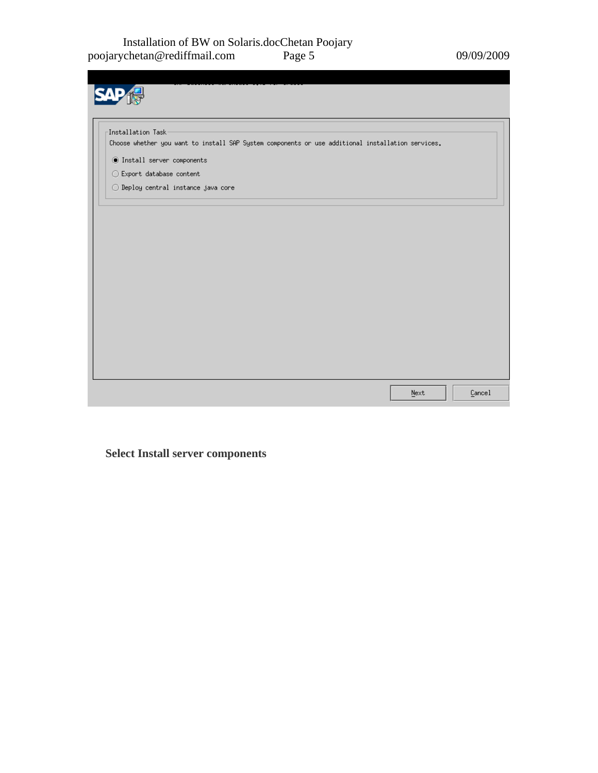| Installation Task-                                           |                                                                                                   |  |  |  |
|--------------------------------------------------------------|---------------------------------------------------------------------------------------------------|--|--|--|
|                                                              | Choose whether you want to install SAP System components or use additional installation services. |  |  |  |
| $\textcircled{\small{\texttt{I}}}$ Install server components |                                                                                                   |  |  |  |
| $\bigcirc$ Export database content                           |                                                                                                   |  |  |  |
|                                                              | $\bigcirc$ Deploy central instance java core                                                      |  |  |  |
|                                                              |                                                                                                   |  |  |  |
|                                                              |                                                                                                   |  |  |  |
|                                                              |                                                                                                   |  |  |  |
|                                                              |                                                                                                   |  |  |  |
|                                                              |                                                                                                   |  |  |  |
|                                                              |                                                                                                   |  |  |  |
|                                                              |                                                                                                   |  |  |  |
|                                                              |                                                                                                   |  |  |  |
|                                                              |                                                                                                   |  |  |  |
|                                                              |                                                                                                   |  |  |  |
|                                                              |                                                                                                   |  |  |  |

**Select Install server components**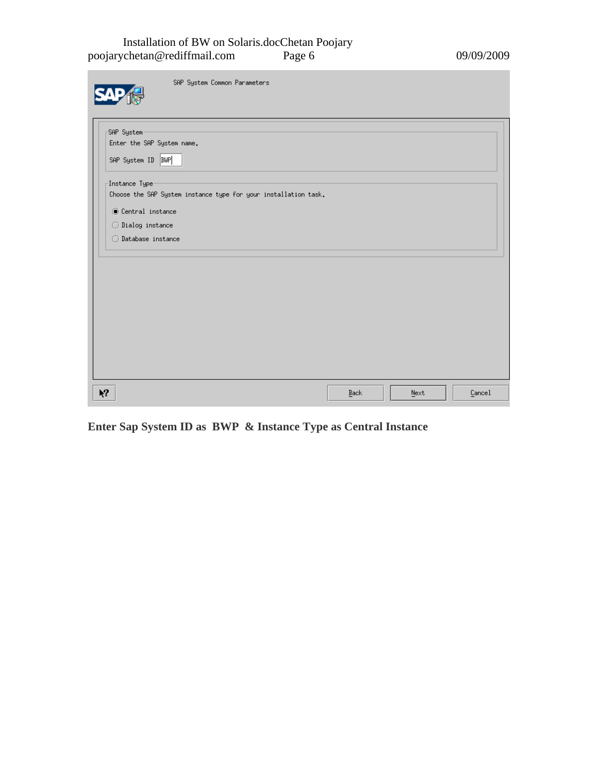#### Installation of BW on Solaris.docChetan Poojary poojarychetan@rediffmail.com Page 6 09/09/2009

| SAP System Common Parameters                                                                      |      |      |  |
|---------------------------------------------------------------------------------------------------|------|------|--|
| SAP System                                                                                        |      |      |  |
| Enter the SAP System name.<br>SAP System ID   BWP                                                 |      |      |  |
|                                                                                                   |      |      |  |
| $\lceil$ Instance Type $\cdot$<br>Choose the SAP System instance type for your installation task. |      |      |  |
| <b>O</b> Central instance                                                                         |      |      |  |
| $\bigcirc$ Dialog instance                                                                        |      |      |  |
| $\bigcirc$ Database instance                                                                      |      |      |  |
|                                                                                                   |      |      |  |
|                                                                                                   |      |      |  |
|                                                                                                   |      |      |  |
|                                                                                                   |      |      |  |
|                                                                                                   |      |      |  |
|                                                                                                   |      |      |  |
|                                                                                                   |      |      |  |
|                                                                                                   |      |      |  |
|                                                                                                   |      |      |  |
| $\lambda$                                                                                         | Back | Next |  |

**Enter Sap System ID as BWP & Instance Type as Central Instance**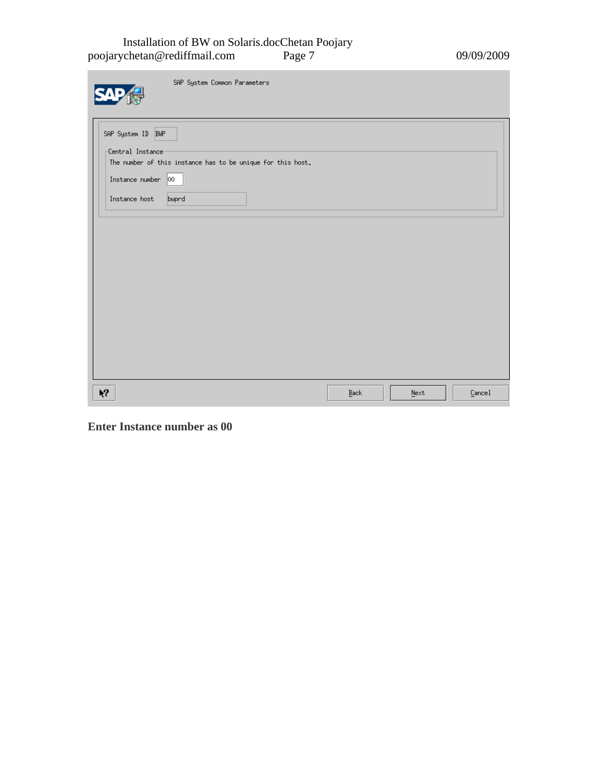#### Installation of BW on Solaris.docChetan Poojary poojarychetan@rediffmail.com Page 7 09/09/2009

m.

| SAP System Common Parameters                                                    |      |      |        |
|---------------------------------------------------------------------------------|------|------|--------|
| SAP System ID BWP                                                               |      |      |        |
| Central Instance<br>The number of this instance has to be unique for this host. |      |      |        |
| Instance number $ 00 $                                                          |      |      |        |
| Instance host<br>bwprd                                                          |      |      |        |
|                                                                                 |      |      |        |
|                                                                                 |      |      |        |
|                                                                                 |      |      |        |
|                                                                                 |      |      |        |
|                                                                                 |      |      |        |
|                                                                                 |      |      |        |
|                                                                                 |      |      |        |
|                                                                                 |      |      |        |
|                                                                                 |      |      |        |
|                                                                                 |      |      |        |
|                                                                                 |      |      |        |
| $\mathbf{M}$                                                                    | Back | Next | Cancel |

**Enter Instance number as 00**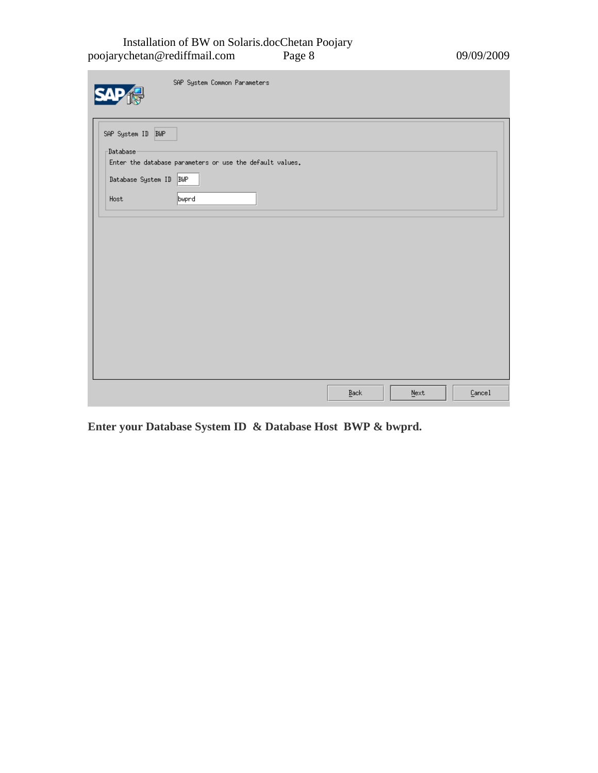#### Installation of BW on Solaris.docChetan Poojary poojarychetan@rediffmail.com Page 8 09/09/2009

| SAP System Common Parameters                                                                                                                 |      |      |        |
|----------------------------------------------------------------------------------------------------------------------------------------------|------|------|--------|
| SAP System ID BWP<br>$\lnot$ Database<br>Enter the database parameters or use the default values.<br>Database System ID BWP<br>bwprd<br>Host |      |      |        |
|                                                                                                                                              |      |      |        |
|                                                                                                                                              |      |      |        |
|                                                                                                                                              | Back | Next | Cancel |

**Enter your Database System ID & Database Host BWP & bwprd.**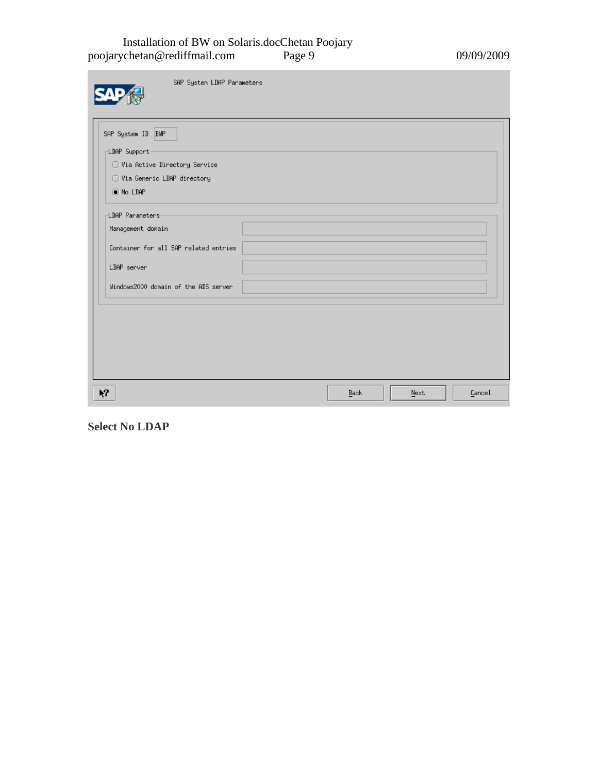#### Installation of BW on Solaris.docChetan Poojary poojarychetan@rediffmail.com Page 9 09/09/2009

m.

| SAP System LDAP Parameters                                                    |      |      |        |
|-------------------------------------------------------------------------------|------|------|--------|
| SAP System ID BWP<br>LDAP Support-<br>$\bigcirc$ Via Active Directory Service |      |      |        |
| ◯ Via Generic LDAP directory<br>◉ No LDAP                                     |      |      |        |
| <b>LDAP Parameters</b><br>Management domain                                   |      |      |        |
| Container for all SAP related entries<br>LDAP server                          |      |      |        |
| Windows2000 domain of the ADS server                                          |      |      |        |
|                                                                               |      |      |        |
|                                                                               |      |      |        |
| Ķ,                                                                            | Back | Next | Cancel |

**Select No LDAP**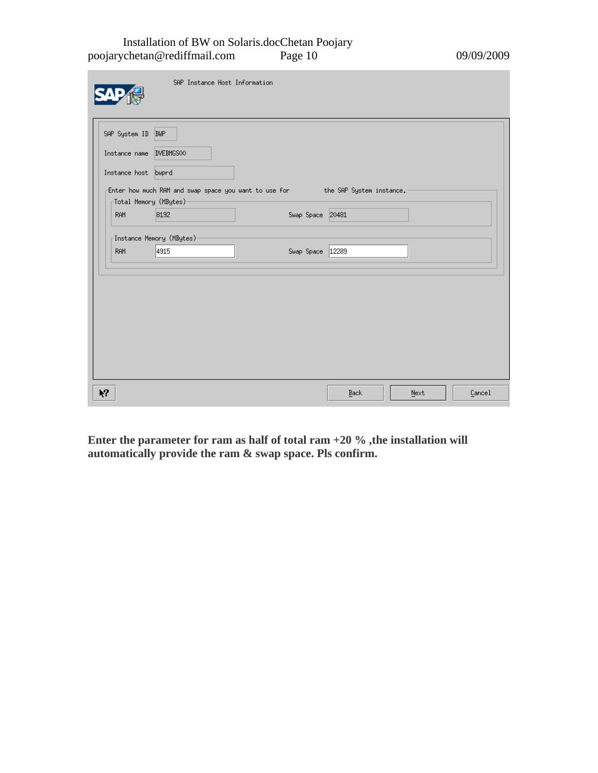Installation of BW on Solaris.docChetan Poojary poojarychetan@rediffmail.com Page 10 09/09/2009

| SAP System ID          | <b>BUP</b>                       |                                                                                        |  |  |
|------------------------|----------------------------------|----------------------------------------------------------------------------------------|--|--|
| Instance name          | DVEBMGS00                        |                                                                                        |  |  |
| Instance host bwprd    |                                  |                                                                                        |  |  |
| Fotal Memory (MBytes)- |                                  | Enter how much RAM and swap space you want to use for _______ the SAP System instance. |  |  |
| <b>RAM</b>             | 8192                             | Swap Space 20481                                                                       |  |  |
|                        | <b>[Instance Memory (MBytes)</b> |                                                                                        |  |  |
| <b>RAM</b>             | 4915                             | Swap Space 12289                                                                       |  |  |
|                        |                                  |                                                                                        |  |  |
|                        |                                  |                                                                                        |  |  |
|                        |                                  |                                                                                        |  |  |
|                        |                                  |                                                                                        |  |  |
|                        |                                  |                                                                                        |  |  |
|                        |                                  |                                                                                        |  |  |
|                        |                                  |                                                                                        |  |  |
|                        |                                  |                                                                                        |  |  |

**Enter the parameter for ram as half of total ram +20 % ,the installation will automatically provide the ram & swap space. Pls confirm.**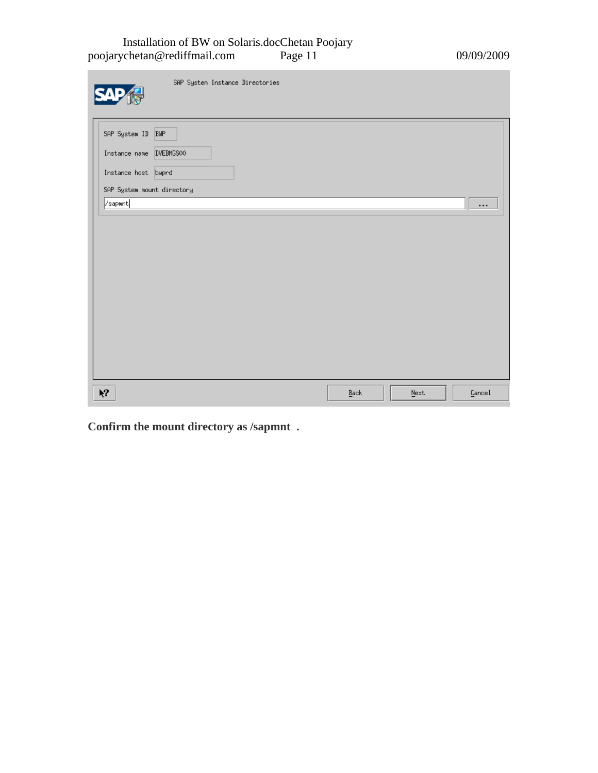#### Installation of BW on Solaris.docChetan Poojary poojarychetan@rediffmail.com Page 11 09/09/2009

| SAP System Instance Directories                                     |                     |      |          |
|---------------------------------------------------------------------|---------------------|------|----------|
| SAP System ID BWP<br>Instance name DVEBMGS00<br>Instance host bwprd |                     |      |          |
| SAP System mount directory<br>/sapmnt                               |                     |      | $\cdots$ |
|                                                                     |                     |      |          |
| $\lambda$                                                           | $\underline{B}$ ack | Next | Cancel   |

**Confirm the mount directory as /sapmnt .**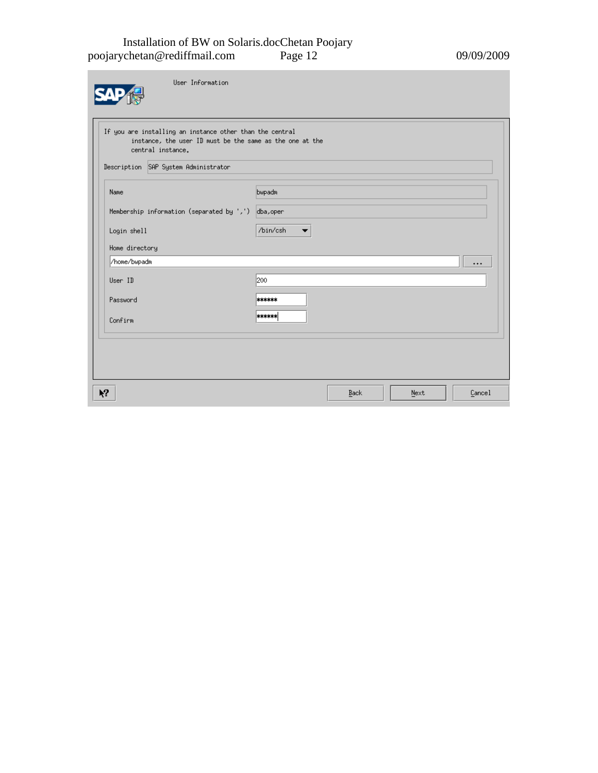#### Installation of BW on Solaris.docChetan Poojary poojarychetan@rediffmail.com Page 12 09/09/2009

m.

| User Information                                                                                                                                                                  |               |      |      |          |
|-----------------------------------------------------------------------------------------------------------------------------------------------------------------------------------|---------------|------|------|----------|
| If you are installing an instance other than the central<br>instance, the user ID must be the same as the one at the<br>central instance.<br>Description SAP System Administrator |               |      |      |          |
| Name                                                                                                                                                                              | bwpadm        |      |      |          |
| Membership information (separated by ',') dba, oper                                                                                                                               |               |      |      |          |
| Login shell                                                                                                                                                                       | /bin/csh<br>▼ |      |      |          |
| Home directory<br>/home/bwpadm                                                                                                                                                    |               |      |      | $\cdots$ |
| User ID                                                                                                                                                                           | 200           |      |      |          |
| Password                                                                                                                                                                          | ******        |      |      |          |
| Confirm                                                                                                                                                                           | ******        |      |      |          |
|                                                                                                                                                                                   |               |      |      |          |
| Ķ?                                                                                                                                                                                |               | Back | Next | Cancel   |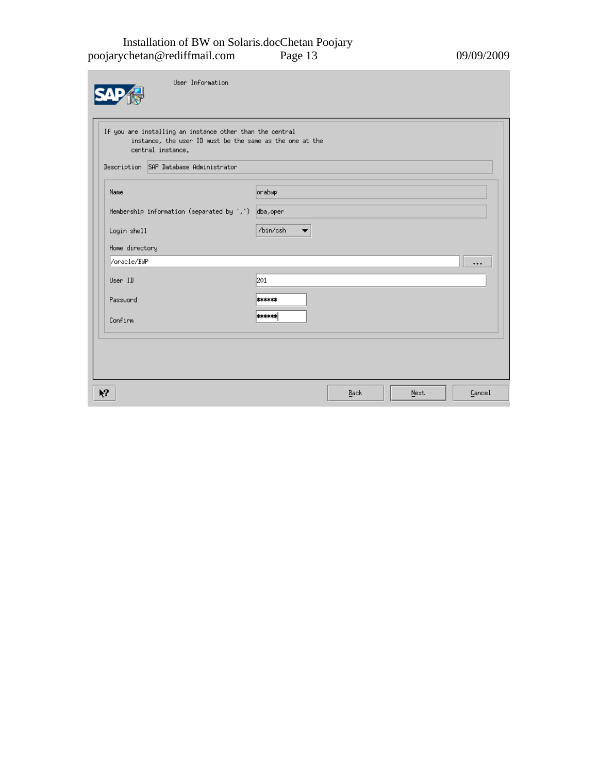#### Installation of BW on Solaris.docChetan Poojary poojarychetan@rediffmail.com Page 13 09/09/2009

m.

| User Information                                                                                                                                                                    |                                      |      |      |          |
|-------------------------------------------------------------------------------------------------------------------------------------------------------------------------------------|--------------------------------------|------|------|----------|
| If you are installing an instance other than the central<br>instance, the user ID must be the same as the one at the<br>central instance.<br>Description SAP Database Administrator |                                      |      |      |          |
| Name<br>Membership information (separated by ',') dba, oper                                                                                                                         | orabwp                               |      |      |          |
| Login shell<br>Home directory                                                                                                                                                       | /bin/csh<br>$\overline{\phantom{a}}$ |      |      |          |
| /oracle/BWP<br>User ID                                                                                                                                                              | 201                                  |      |      | $\cdots$ |
| Password<br>Confirm                                                                                                                                                                 | ******<br>******                     |      |      |          |
|                                                                                                                                                                                     |                                      |      |      |          |
| $\mathbf{k}^2$                                                                                                                                                                      |                                      | Back | Next | Cancel   |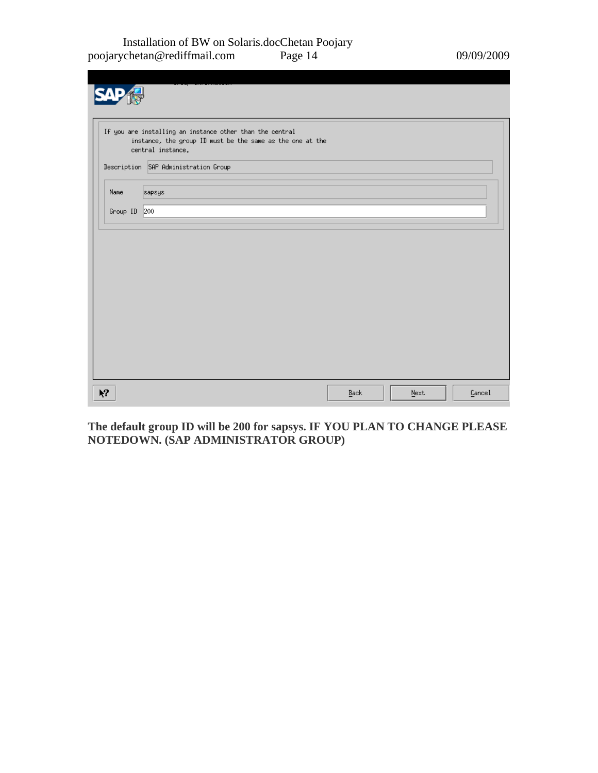Installation of BW on Solaris.docChetan Poojary poojarychetan@rediffmail.com Page 14 09/09/2009

|                | If you are installing an instance other than the central<br>instance, the group ID must be the same as the one at the<br>central instance. |      |      |        |
|----------------|--------------------------------------------------------------------------------------------------------------------------------------------|------|------|--------|
|                | Description SAP Administration Group                                                                                                       |      |      |        |
| Name           | sapsys                                                                                                                                     |      |      |        |
| Group ID 200   |                                                                                                                                            |      |      |        |
|                |                                                                                                                                            |      |      |        |
| $\mathbf{Y}^2$ |                                                                                                                                            | Back | Next | Cancel |

**The default group ID will be 200 for sapsys. IF YOU PLAN TO CHANGE PLEASE NOTEDOWN. (SAP ADMINISTRATOR GROUP)**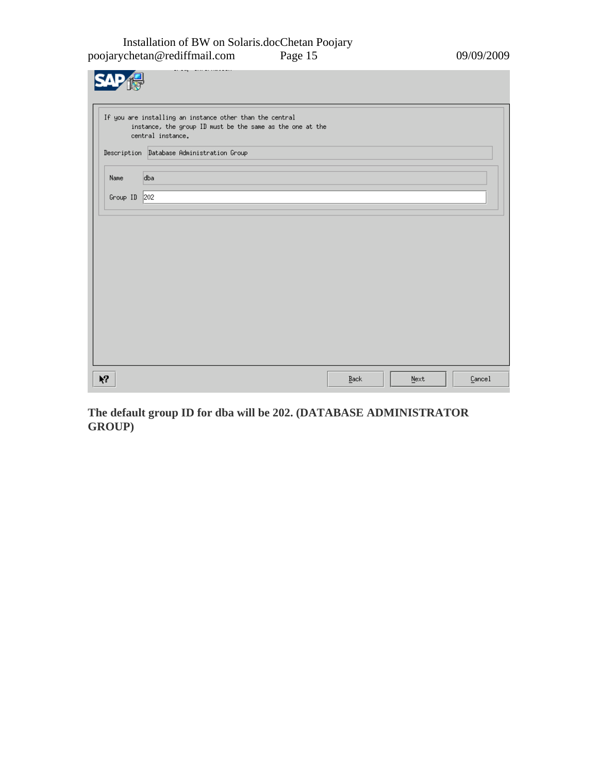Installation of BW on Solaris.docChetan Poojary poojarychetan@rediffmail.com Page 15 09/09/2009

|                | If you are installing an instance other than the central<br>instance, the group ID must be the same as the one at the<br>central instance. |      |      |        |
|----------------|--------------------------------------------------------------------------------------------------------------------------------------------|------|------|--------|
|                | Description Database Administration Group                                                                                                  |      |      |        |
| Name           | dba                                                                                                                                        |      |      |        |
| Group ID       | 202                                                                                                                                        |      |      |        |
|                |                                                                                                                                            |      |      |        |
|                |                                                                                                                                            |      |      |        |
|                |                                                                                                                                            |      |      |        |
|                |                                                                                                                                            |      |      |        |
| $\mathbf{Y}^2$ |                                                                                                                                            | Back | Next | Cancel |

**The default group ID for dba will be 202. (DATABASE ADMINISTRATOR GROUP)**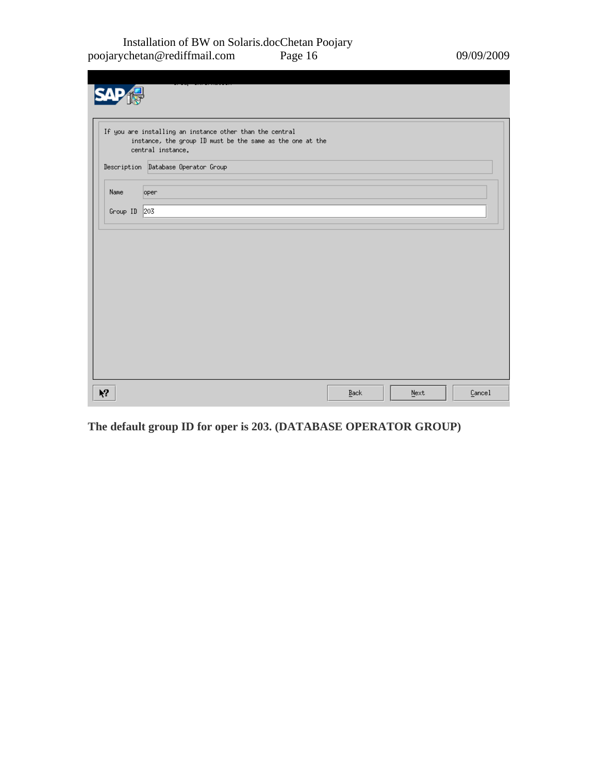Installation of BW on Solaris.docChetan Poojary poojarychetan@rediffmail.com Page 16 09/09/2009

|           | If you are installing an instance other than the central<br>instance, the group ID must be the same as the one at the<br>central instance. |      |      |        |
|-----------|--------------------------------------------------------------------------------------------------------------------------------------------|------|------|--------|
|           | Description Database Operator Group                                                                                                        |      |      |        |
| Name      | oper                                                                                                                                       |      |      |        |
| Group ID  | 203                                                                                                                                        |      |      |        |
|           |                                                                                                                                            |      |      |        |
|           |                                                                                                                                            |      |      |        |
|           |                                                                                                                                            |      |      |        |
|           |                                                                                                                                            |      |      |        |
|           |                                                                                                                                            |      |      |        |
|           |                                                                                                                                            |      |      |        |
|           |                                                                                                                                            |      |      |        |
|           |                                                                                                                                            |      |      |        |
|           |                                                                                                                                            |      |      |        |
| $\lambda$ |                                                                                                                                            | Back | Next | Cancel |

**The default group ID for oper is 203. (DATABASE OPERATOR GROUP)**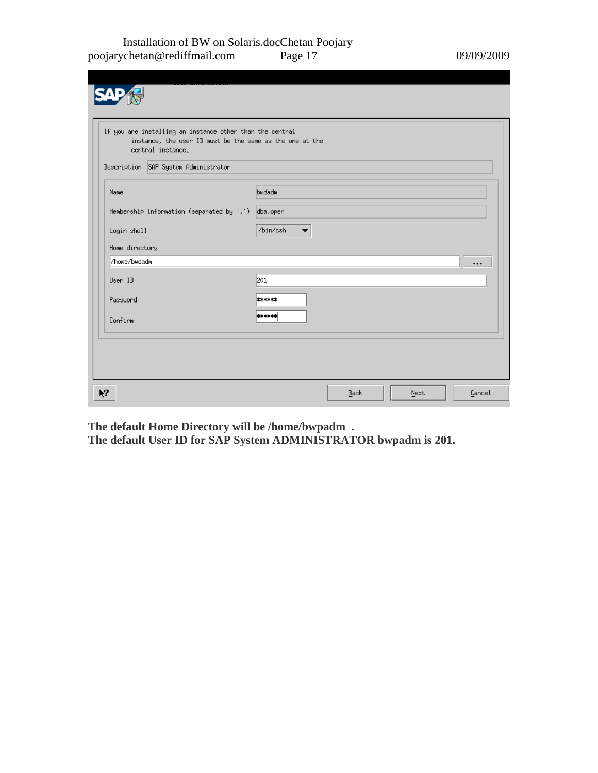#### Installation of BW on Solaris.docChetan Poojary poojarychetan@rediffmail.com Page 17 09/09/2009

|                | instance, the user ID must be the same as the one at the<br>central instance. |                                      |
|----------------|-------------------------------------------------------------------------------|--------------------------------------|
|                | Description SAP System Administrator                                          |                                      |
| Name           |                                                                               | bwdadm                               |
|                | Membership information (separated by ',') dba, oper                           |                                      |
| Login shell    |                                                                               | /bin/csh<br>$\overline{\phantom{a}}$ |
| Home directory |                                                                               |                                      |
| /home/bwdadm   |                                                                               | $\cdots$                             |
| User ID        |                                                                               | 201                                  |
| Password       |                                                                               | ******                               |
| Confirm        |                                                                               | ******                               |
|                |                                                                               |                                      |

**The default Home Directory will be /home/bwpadm .** 

**The default User ID for SAP System ADMINISTRATOR bwpadm is 201.**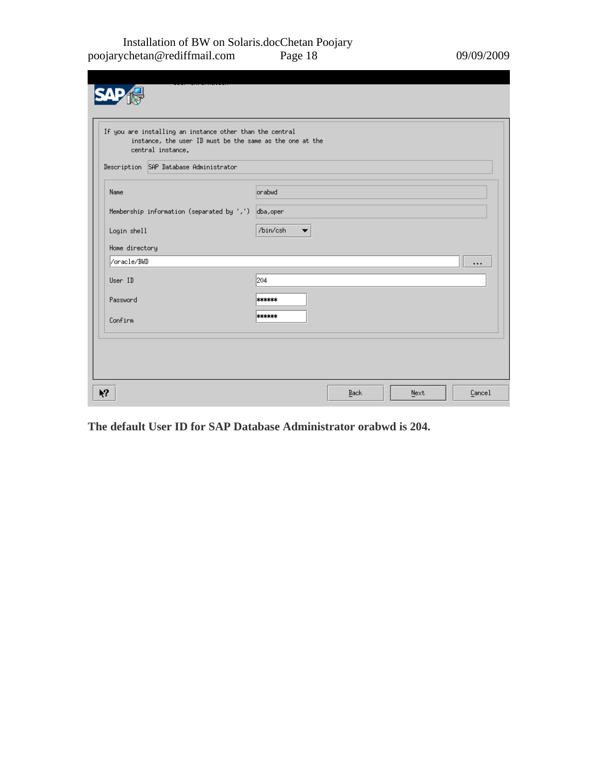#### Installation of BW on Solaris.docChetan Poojary poojarychetan@rediffmail.com Page 18 09/09/2009

| If you are installing an instance other than the central<br>instance, the user ID must be the same as the one at the<br>central instance. |                                      |
|-------------------------------------------------------------------------------------------------------------------------------------------|--------------------------------------|
| Description SAP Database Administrator                                                                                                    |                                      |
| Name                                                                                                                                      | <b>Orabud</b>                        |
| Membership information (separated by ',') dba, oper                                                                                       |                                      |
| Login shell                                                                                                                               | /bin/csh<br>$\overline{\phantom{a}}$ |
| Home directory                                                                                                                            |                                      |
| /oracle/BWD                                                                                                                               | $\cdots$                             |
| User ID                                                                                                                                   | 204                                  |
| Password                                                                                                                                  | ******                               |
| Confirm                                                                                                                                   | ******                               |
|                                                                                                                                           |                                      |
|                                                                                                                                           |                                      |
|                                                                                                                                           |                                      |

**The default User ID for SAP Database Administrator orabwd is 204.**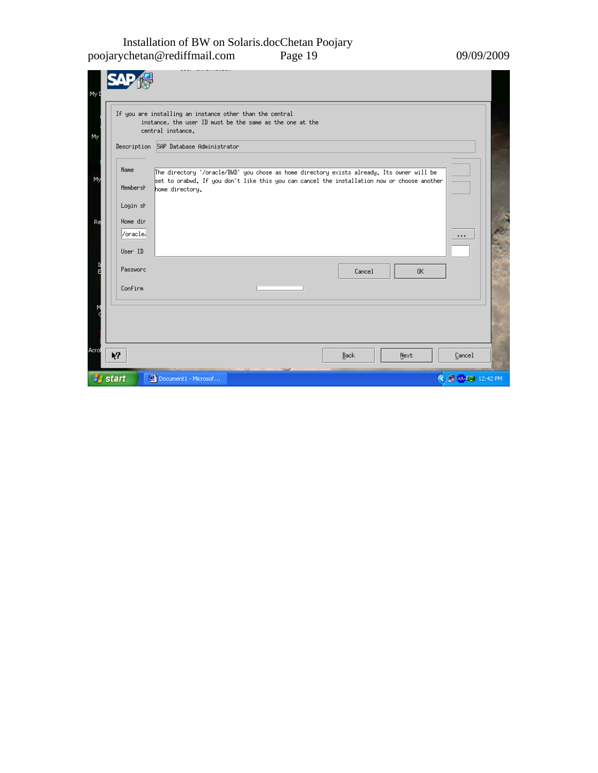#### Installation of BW on Solaris.docChetan Poojary poojarychetan@rediffmail.com Page 19 09/09/2009

|          | Description SAP Database Administrator                                                                         |
|----------|----------------------------------------------------------------------------------------------------------------|
|          |                                                                                                                |
| Name     | The directory '/oracle/BWD' you chose as home directory exists already. Its owner will be                      |
| Membersh | set to orabwd. If you don't like this you can cancel the installation now or choose another<br>home directory. |
| Login sh |                                                                                                                |
| Home dir |                                                                                                                |
| /oracle/ | $***$                                                                                                          |
| User ID  |                                                                                                                |
|          |                                                                                                                |
| Password | 0K<br>Cancel                                                                                                   |
| Confirm  |                                                                                                                |
|          |                                                                                                                |
|          |                                                                                                                |
|          |                                                                                                                |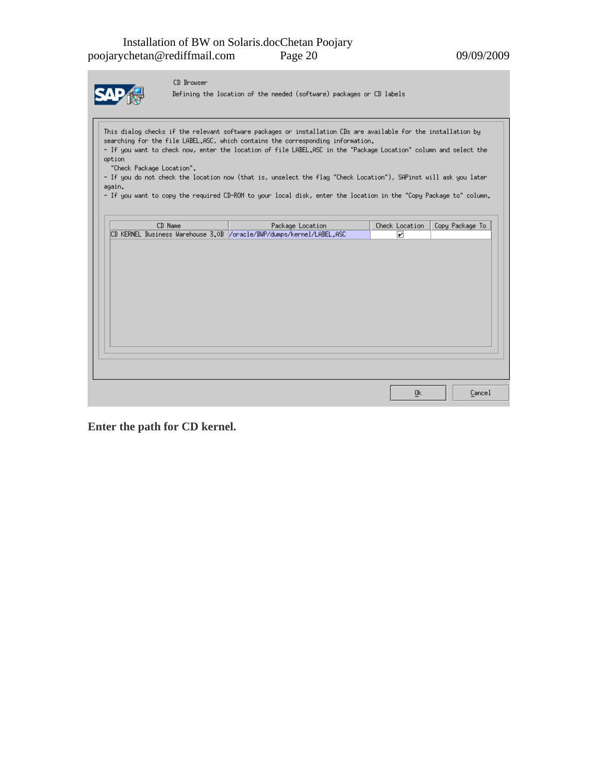|--|

CD Browser

Defining the location of the needed (software) packages or CD labels

This dialog checks if the relevant software packages or installation CDs are available for the installation by searching for the file LABEL.ASC, which contains the corresponding information. - If you want to check now, enter the location of file LABEL.ASC in the "Package Location" column and select the option "Check Package Location".

- If you do not check the location now (that is, unselect the flag "Check Location"), SAPinst will ask you later  $again.$ 

- If you want to copy the required CD-ROM to your local disk, enter the location in the "Copy Package to" column.

|  | CD Name |  | Package Location                                                     | Check Location | Copy Package To |
|--|---------|--|----------------------------------------------------------------------|----------------|-----------------|
|  |         |  | CD KERNEL Business Warehouse 3.0B /oracle/BWP/dumps/kernel/LABEL.ASC | ☑              |                 |
|  |         |  |                                                                      |                |                 |
|  |         |  |                                                                      |                |                 |
|  |         |  |                                                                      |                |                 |
|  |         |  |                                                                      |                |                 |
|  |         |  |                                                                      |                |                 |
|  |         |  |                                                                      |                |                 |
|  |         |  |                                                                      |                |                 |
|  |         |  |                                                                      |                |                 |
|  |         |  |                                                                      |                |                 |
|  |         |  |                                                                      |                |                 |
|  |         |  |                                                                      |                |                 |
|  |         |  |                                                                      |                |                 |
|  |         |  |                                                                      |                |                 |
|  |         |  |                                                                      |                |                 |
|  |         |  |                                                                      |                |                 |
|  |         |  |                                                                      |                |                 |
|  |         |  |                                                                      | Ūκ             | Cancel          |

**Enter the path for CD kernel.**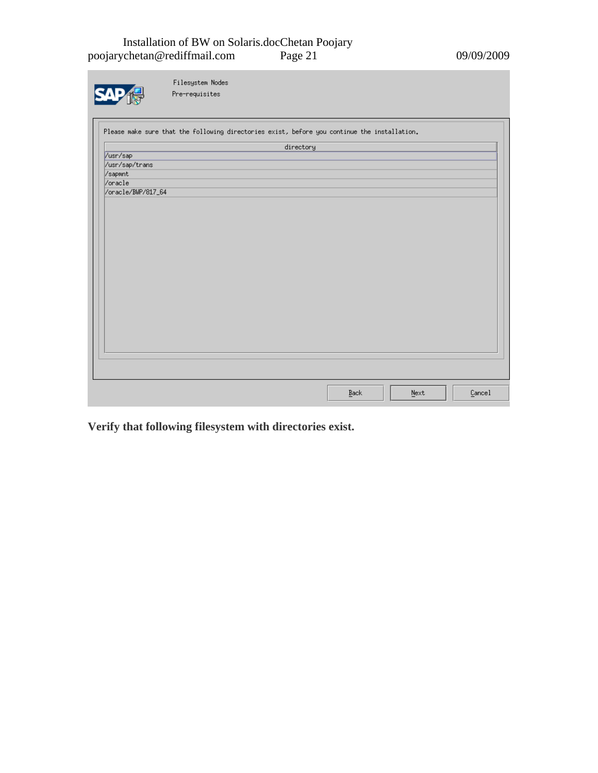#### Installation of BW on Solaris.docChetan Poojary poojarychetan@rediffmail.com Page 21 09/09/2009

|                    | Filesystem Nodes                                                                             |           |      |      |        |
|--------------------|----------------------------------------------------------------------------------------------|-----------|------|------|--------|
|                    | Pre-requisites                                                                               |           |      |      |        |
|                    |                                                                                              |           |      |      |        |
|                    | Please make sure that the following directories exist, before you continue the installation. |           |      |      |        |
|                    |                                                                                              | directory |      |      |        |
| /usr/sap           |                                                                                              |           |      |      |        |
| /usr/sap/trans     |                                                                                              |           |      |      |        |
| /sapmnt            |                                                                                              |           |      |      |        |
| /oracle            |                                                                                              |           |      |      |        |
| /oracle/BWP/817_64 |                                                                                              |           |      |      |        |
|                    |                                                                                              |           |      |      |        |
|                    |                                                                                              |           |      |      |        |
|                    |                                                                                              |           |      |      |        |
|                    |                                                                                              |           |      |      |        |
|                    |                                                                                              |           |      |      |        |
|                    |                                                                                              |           |      |      |        |
|                    |                                                                                              |           |      |      |        |
|                    |                                                                                              |           |      |      |        |
|                    |                                                                                              |           |      |      |        |
|                    |                                                                                              |           |      |      |        |
|                    |                                                                                              |           |      |      |        |
|                    |                                                                                              |           |      |      |        |
|                    |                                                                                              |           |      |      |        |
|                    |                                                                                              |           |      |      |        |
|                    |                                                                                              |           |      |      |        |
|                    |                                                                                              |           |      |      |        |
|                    |                                                                                              |           |      |      |        |
|                    |                                                                                              |           |      |      |        |
|                    |                                                                                              |           |      |      |        |
|                    |                                                                                              |           |      |      |        |
|                    |                                                                                              |           |      |      |        |
|                    |                                                                                              |           |      |      |        |
|                    |                                                                                              |           | Back | Next | Cancel |

**Verify that following filesystem with directories exist.**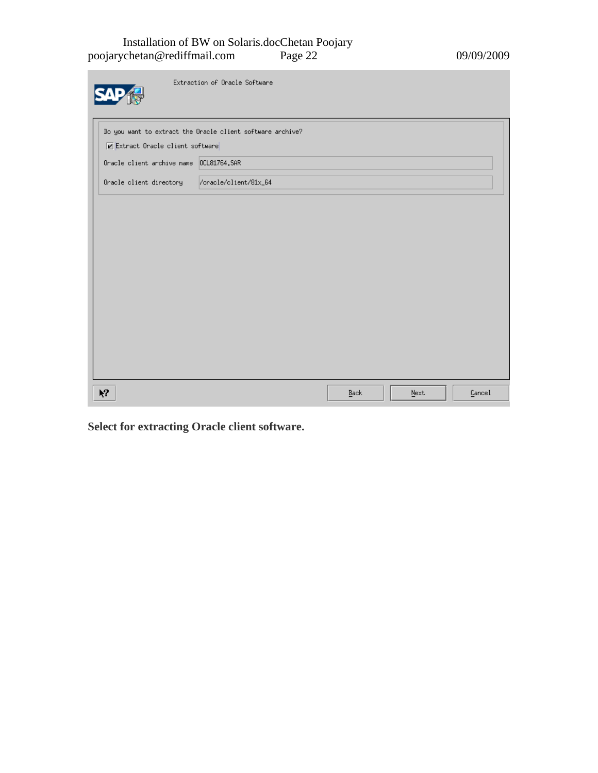#### Installation of BW on Solaris.docChetan Poojary poojarychetan@rediffmail.com Page 22 09/09/2009

m.

|                                         | Extraction of Oracle Software                              |      |         |        |
|-----------------------------------------|------------------------------------------------------------|------|---------|--------|
| Extract Oracle client software          | Do you want to extract the Oracle client software archive? |      |         |        |
| Oracle client archive name 0CL81764.SAR |                                                            |      |         |        |
| Oracle client directory                 | /oracle/client/81x_64                                      |      |         |        |
|                                         |                                                            |      |         |        |
|                                         |                                                            |      |         |        |
|                                         |                                                            |      |         |        |
|                                         |                                                            |      |         |        |
|                                         |                                                            |      |         |        |
|                                         |                                                            |      |         |        |
| $\lambda$                               |                                                            | Back | $N$ ext | Cancel |

**Select for extracting Oracle client software.**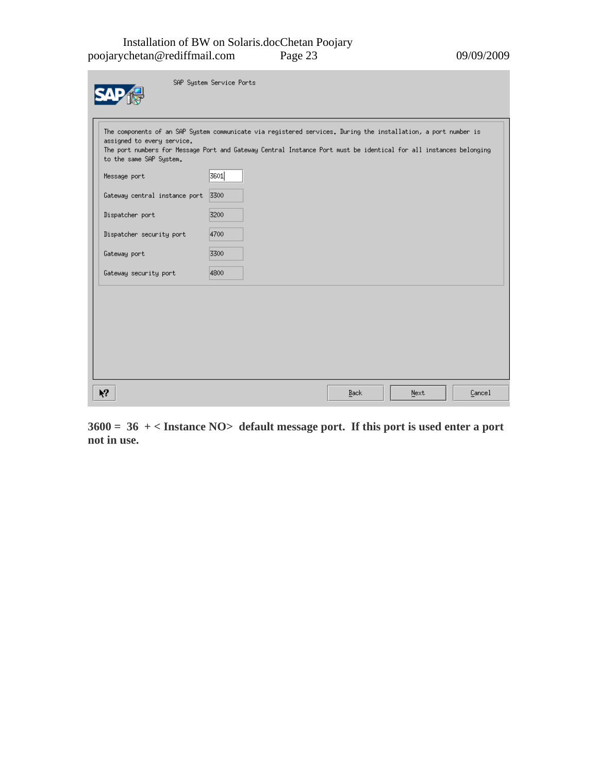#### Installation of BW on Solaris.docChetan Poojary poojarychetan@rediffmail.com Page 23 09/09/2009

m.

| The components of an SAP System communicate via registered services. During the installation, a port number is<br>assigned to every service. |      |  |  |  |
|----------------------------------------------------------------------------------------------------------------------------------------------|------|--|--|--|
| The port numbers for Message Port and Gateway Central Instance Port must be identical for all instances belonging<br>to the same SAP System. |      |  |  |  |
| Message port                                                                                                                                 | 3601 |  |  |  |
| Gateway central instance port                                                                                                                | 3300 |  |  |  |
| Dispatcher port                                                                                                                              | 3200 |  |  |  |
| Dispatcher security port                                                                                                                     | 4700 |  |  |  |
| Gateway port                                                                                                                                 | 3300 |  |  |  |
| Gateway security port                                                                                                                        | 4800 |  |  |  |
|                                                                                                                                              |      |  |  |  |
|                                                                                                                                              |      |  |  |  |
|                                                                                                                                              |      |  |  |  |
|                                                                                                                                              |      |  |  |  |
|                                                                                                                                              |      |  |  |  |

**3600 = 36 + < Instance NO> default message port. If this port is used enter a port not in use.**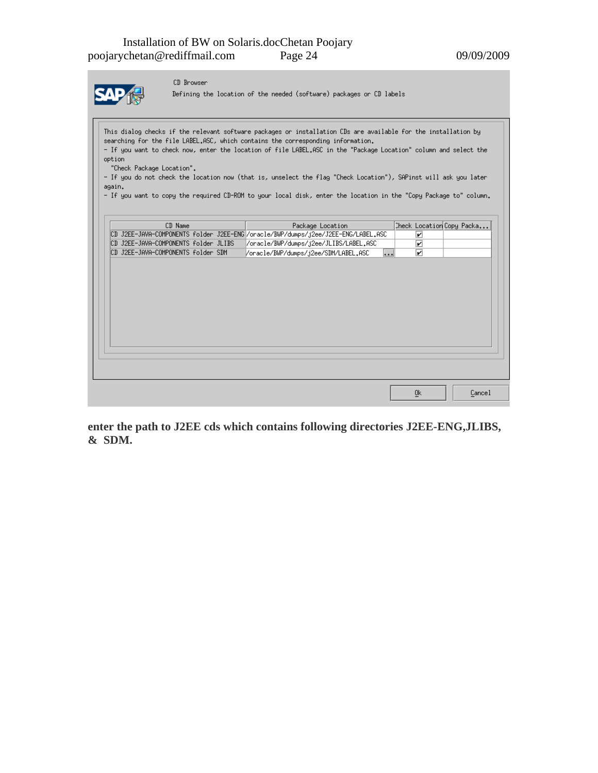$\underline{\textsf{C}}$ ancel

 $\underline{0}\mathbf{k}$ 



CD Browser

Defining the location of the needed (software) packages or CD labels

This dialog checks if the relevant software packages or installation CDs are available for the installation by searching for the file LABEL.ASC, which contains the corresponding information. - If you want to check now, enter the location of file LABEL.ASC in the "Package Location" column and select the option "Check Package Location". - If you do not check the location now (that is, unselect the flag "Check Location"), SAPinst will ask you later again. - If you want to copy the required CD-ROM to your local disk, enter the location in the "Copy Package to" column.  $CD$  Name Check Location Copy Packa... Package Location CD J2EE-JAVA-COMPONENTS folder J2EE-ENG /oracle/BWP/dumps/j2ee/J2EE-ENG/LABEL.ASC  $\overline{\mathbf{r}}$ CD J2EE-JAVA-COMPONENTS folder JLIBS //oracle/BWP/dumps/j2ee/JLIBS/LABEL.ASC ☑ CD J2EE-JAVA-COMPONENTS folder SDM /oracle/BWP/dumps/j2ee/SDM/LABEL.ASC  $\overline{\mathbf{v}}$  $\overline{\cdots}$ 

**enter the path to J2EE cds which contains following directories J2EE-ENG,JLIBS, & SDM.**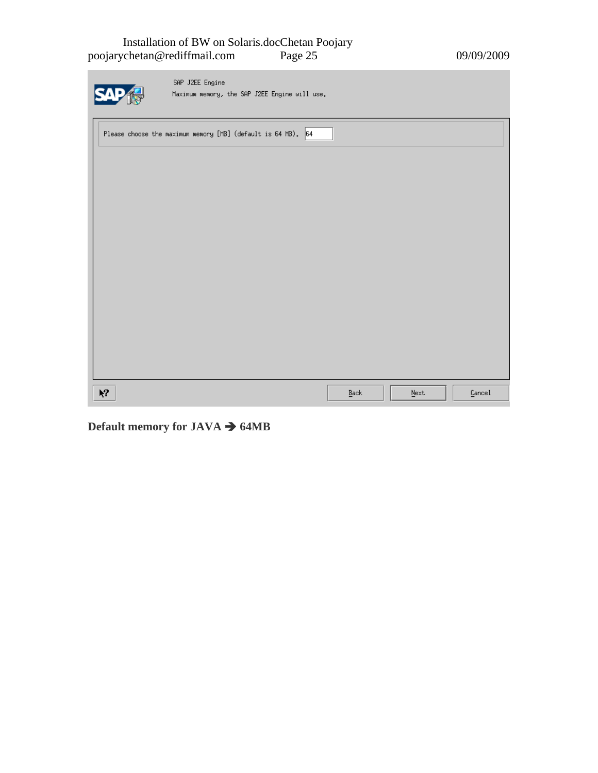#### Installation of BW on Solaris.docChetan Poojary poojarychetan@rediffmail.com Page 25 09/09/2009

| SAP J2EE Engine<br>Maximum memory, the SAP J2EE Engine will use. |                     |         |        |
|------------------------------------------------------------------|---------------------|---------|--------|
| Please choose the maximum memory [MB] (default is 64 MB). 64     |                     |         |        |
|                                                                  |                     |         |        |
|                                                                  |                     |         |        |
|                                                                  |                     |         |        |
|                                                                  |                     |         |        |
|                                                                  |                     |         |        |
|                                                                  |                     |         |        |
|                                                                  |                     |         |        |
| $\mathbf{k}^2$                                                   | $\underline{B}$ ack | $N$ ext | Cancel |

**Default memory for JAVA**  $\rightarrow$  **64MB**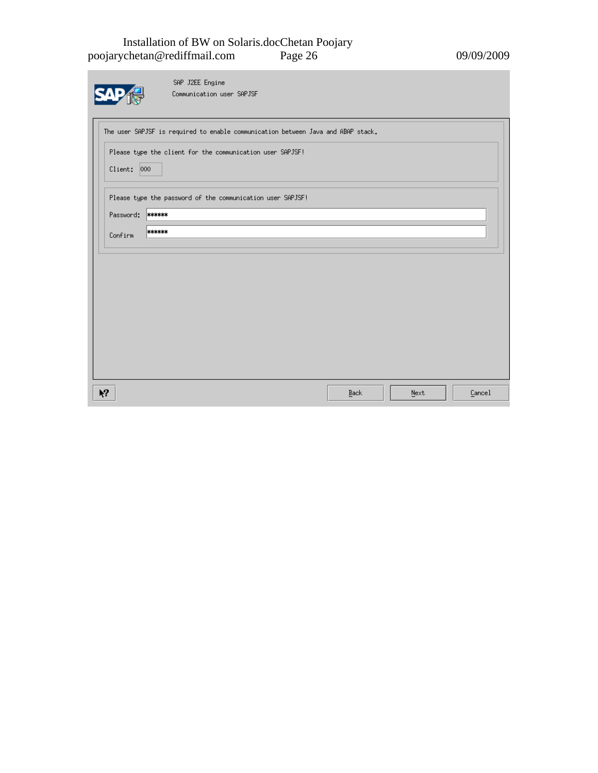#### Installation of BW on Solaris.docChetan Poojary poojarychetan@rediffmail.com Page 26 09/09/2009

m.

|             | SAP J2EE Engine                                                                  |      |      |        |
|-------------|----------------------------------------------------------------------------------|------|------|--------|
|             | Communication user SAPJSF                                                        |      |      |        |
|             |                                                                                  |      |      |        |
|             | The user SAPJSF is required to enable communication between Java and ABAP stack. |      |      |        |
|             |                                                                                  |      |      |        |
|             | Please type the client for the communication user SAPJSF!                        |      |      |        |
| Client: 000 |                                                                                  |      |      |        |
|             |                                                                                  |      |      |        |
|             | Please type the password of the communication user SAPJSF!                       |      |      |        |
| Password:   | ******                                                                           |      |      |        |
| Confirm     | ******                                                                           |      |      |        |
|             |                                                                                  |      |      |        |
|             |                                                                                  |      |      |        |
|             |                                                                                  |      |      |        |
|             |                                                                                  |      |      |        |
|             |                                                                                  |      |      |        |
|             |                                                                                  |      |      |        |
|             |                                                                                  |      |      |        |
|             |                                                                                  |      |      |        |
|             |                                                                                  |      |      |        |
|             |                                                                                  |      |      |        |
| Ķ,          |                                                                                  |      | Next | Cancel |
|             |                                                                                  | Back |      |        |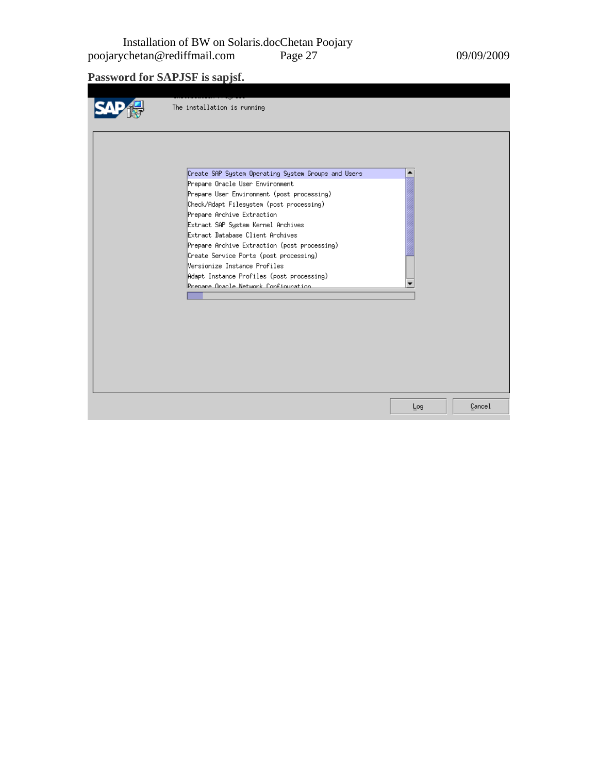Installation of BW on Solaris.docChetan Poojary poojarychetan@rediffmail.com Page 27 09/09/2009

**Password for SAPJSF is sapjsf.** 

| The installation is running                                                                                                                                                                                                                                                                                                                                                                                                                                                                             |     |        |
|---------------------------------------------------------------------------------------------------------------------------------------------------------------------------------------------------------------------------------------------------------------------------------------------------------------------------------------------------------------------------------------------------------------------------------------------------------------------------------------------------------|-----|--------|
| Create SAP System Operating System Groups and Users<br>Prepare Oracle User Environment<br>Prepare User Environment (post processing)<br>Check/Adapt Filesystem (post processing)<br>Prepare Archive Extraction<br>Extract SAP System Kernel Archives<br>Extract Database Client Archives<br>Prepare Archive Extraction (post processing)<br>Create Service Ports (post processing)<br>Wersionize Instance Profiles<br>Adapt Instance Profiles (post processing)<br>Prenare Oracle Network Configuration |     |        |
|                                                                                                                                                                                                                                                                                                                                                                                                                                                                                                         | Log | Cancel |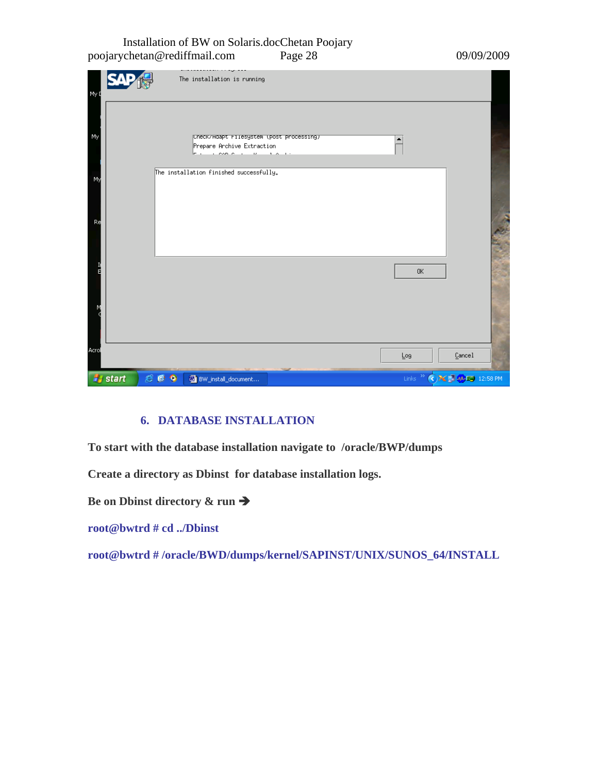#### Installation of BW on Solaris.docChetan Poojary poojarychetan@rediffmail.com Page 28 09/09/2009

| My Q  |                |             | <br>The installation is running                                                              |  |                |                                                          |  |
|-------|----------------|-------------|----------------------------------------------------------------------------------------------|--|----------------|----------------------------------------------------------|--|
| My    |                |             | Uneck/Hdapt Filesystem (post processing)<br>Prepare Archive Extraction<br>المتمعان بالمصميات |  | ▲              |                                                          |  |
| My    |                |             | The installation finished successfully.                                                      |  |                |                                                          |  |
| Re    |                |             |                                                                                              |  |                |                                                          |  |
|       |                |             |                                                                                              |  | 0 <sub>K</sub> |                                                          |  |
| Acrol |                |             |                                                                                              |  |                |                                                          |  |
|       |                |             |                                                                                              |  | Log            | Cancel                                                   |  |
|       | <b>A</b> start | $C_0$ $Q_1$ | BW_install_document                                                                          |  |                | Links <sup>&gt;&gt;</sup> < >> < < <b>D</b> < 0 12:58 PM |  |

#### **6. DATABASE INSTALLATION**

**To start with the database installation navigate to /oracle/BWP/dumps** 

**Create a directory as Dbinst for database installation logs.** 

**Be on Dbinst directory & run**  $\rightarrow$ 

**root@bwtrd # cd ../Dbinst** 

**root@bwtrd # /oracle/BWD/dumps/kernel/SAPINST/UNIX/SUNOS\_64/INSTALL**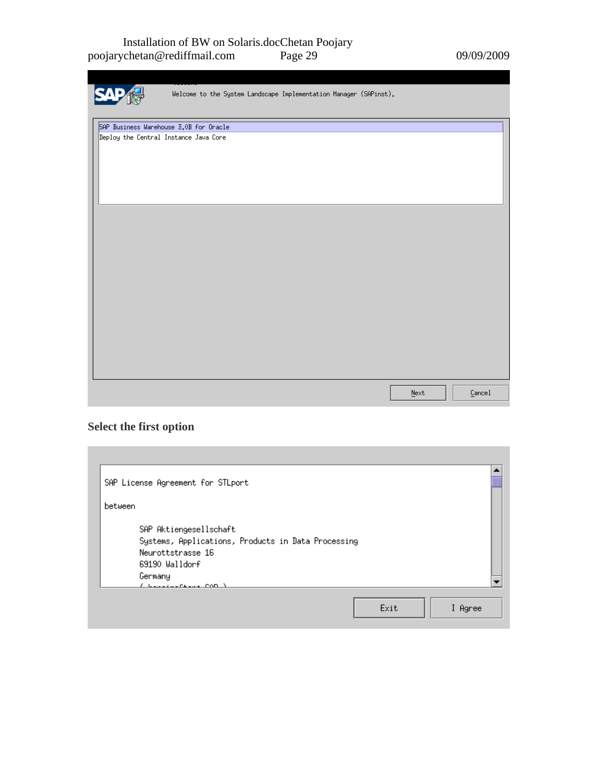#### Installation of BW on Solaris.docChetan Poojary poojarychetan@rediffmail.com Page 29 09/09/2009

| Welcome to the System Landscape Implementation Manager (SAPinst). |                             |        |
|-------------------------------------------------------------------|-----------------------------|--------|
| SAP Business Warehouse 3.0B for Oracle                            |                             |        |
| Deploy the Central Instance Java Core                             |                             |        |
|                                                                   |                             |        |
|                                                                   |                             |        |
|                                                                   |                             |        |
|                                                                   | $\underline{\texttt{Next}}$ | Cancel |

### **Select the first option**

| SAP License Agreement for STLport                                                                                                                           |
|-------------------------------------------------------------------------------------------------------------------------------------------------------------|
| between                                                                                                                                                     |
| SAP Aktiengesellschaft<br>Systems, Applications, Products in Data Processing<br>Neurottstrasse 16<br>69190 Walldorf<br>Germany<br><u>( basalsonna com )</u> |
| Exit<br>I Agree                                                                                                                                             |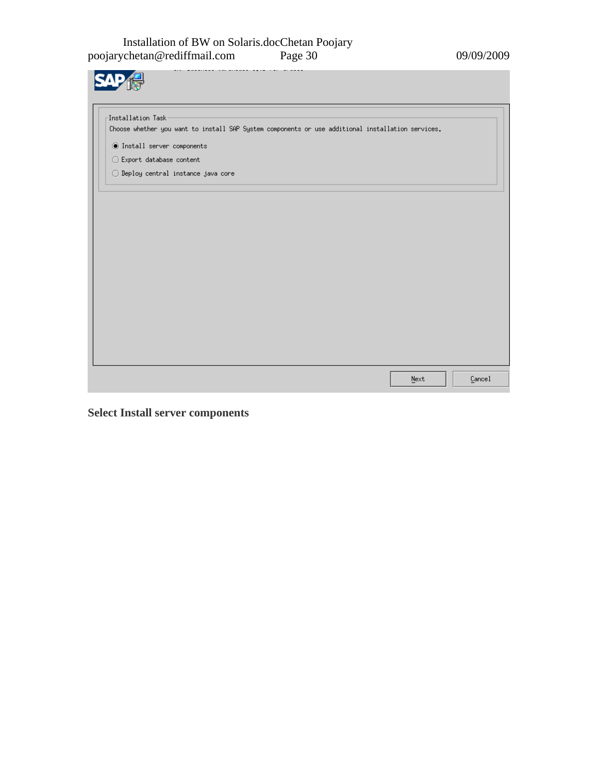| Installation Task-                                                                                |  |  |  |
|---------------------------------------------------------------------------------------------------|--|--|--|
| Choose whether you want to install SAP System components or use additional installation services. |  |  |  |
| ◉ Install server components                                                                       |  |  |  |
| $\bigcirc$ Export database content                                                                |  |  |  |
| $\bigcirc$ Deploy central instance java core                                                      |  |  |  |
|                                                                                                   |  |  |  |
|                                                                                                   |  |  |  |

**Select Install server components**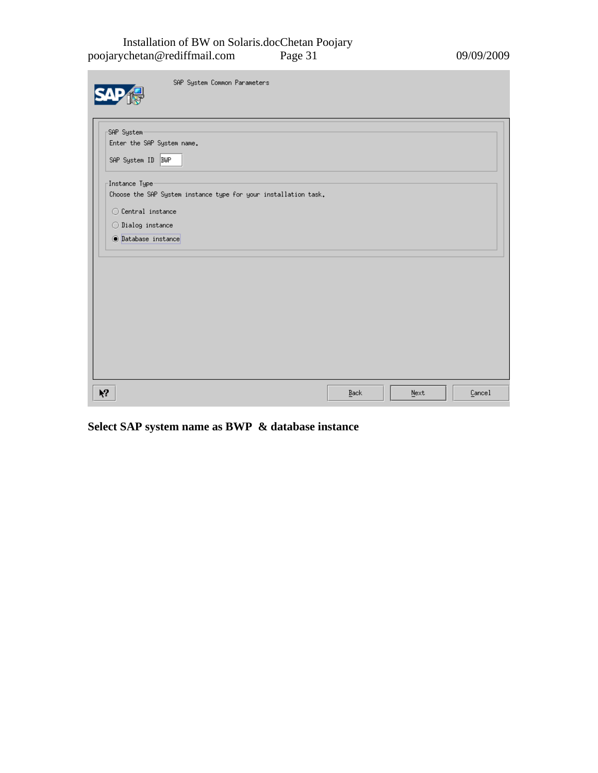#### Installation of BW on Solaris.docChetan Poojary poojarychetan@rediffmail.com Page 31 09/09/2009

| SAP System Common Parameters                                                                                                                                                    |      |      |        |
|---------------------------------------------------------------------------------------------------------------------------------------------------------------------------------|------|------|--------|
| SAP System<br>Enter the SAP System name.<br>SAP System ID BWP                                                                                                                   |      |      |        |
| Instance Type <sup>.</sup><br>Choose the SAP System instance type for your installation task.<br>$\bigcirc$ Central instance<br>◯ Dialog instance<br><b>O</b> Database instance |      |      |        |
|                                                                                                                                                                                 |      |      |        |
|                                                                                                                                                                                 |      |      |        |
| $\lambda$                                                                                                                                                                       | Back | Next | Cancel |

**Select SAP system name as BWP & database instance**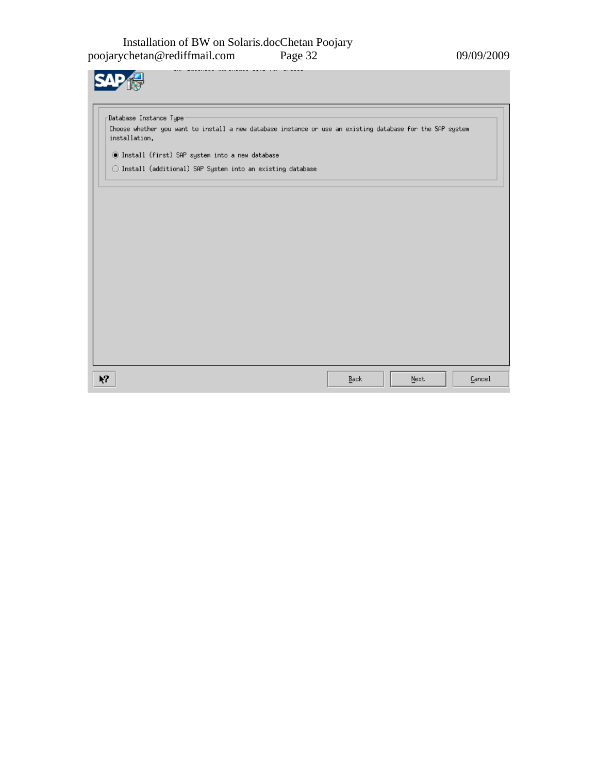| Choose whether you want to install a new database instance or use an existing database for the SAP system |  |  |
|-----------------------------------------------------------------------------------------------------------|--|--|
|                                                                                                           |  |  |
|                                                                                                           |  |  |
| ◯ Install (additional) SAP System into an existing database                                               |  |  |
|                                                                                                           |  |  |
|                                                                                                           |  |  |
|                                                                                                           |  |  |
|                                                                                                           |  |  |
|                                                                                                           |  |  |
|                                                                                                           |  |  |
|                                                                                                           |  |  |
|                                                                                                           |  |  |
|                                                                                                           |  |  |
|                                                                                                           |  |  |
|                                                                                                           |  |  |
|                                                                                                           |  |  |
|                                                                                                           |  |  |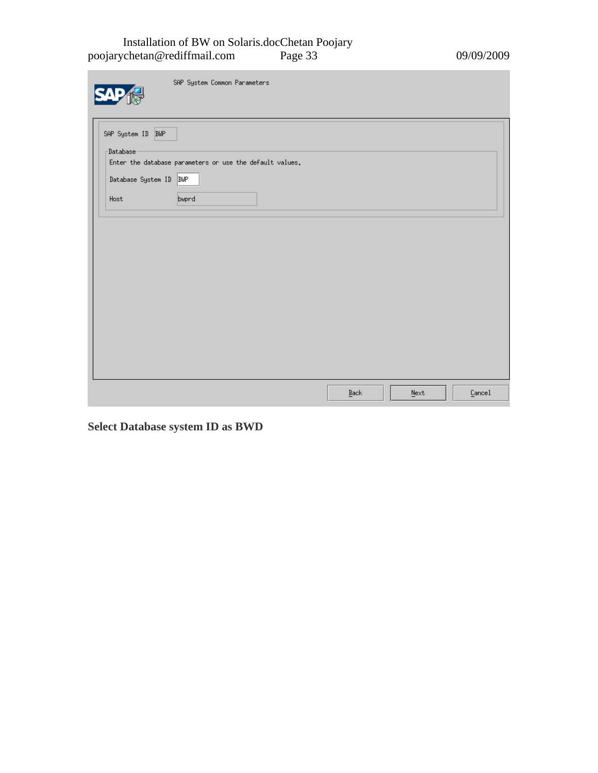#### Installation of BW on Solaris.docChetan Poojary poojarychetan@rediffmail.com Page 33 09/09/2009

۰

|                                             | SAP System Common Parameters                             |      |         |        |
|---------------------------------------------|----------------------------------------------------------|------|---------|--------|
| SAP System ID BWP<br>-Database <sup>.</sup> | Enter the database parameters or use the default values. |      |         |        |
| Database System ID BWP<br>Host              | bwprd                                                    |      |         |        |
|                                             |                                                          |      |         |        |
|                                             |                                                          |      |         |        |
|                                             |                                                          |      |         |        |
|                                             |                                                          |      |         |        |
|                                             |                                                          | Back | $N$ ext | Cancel |

**Select Database system ID as BWD**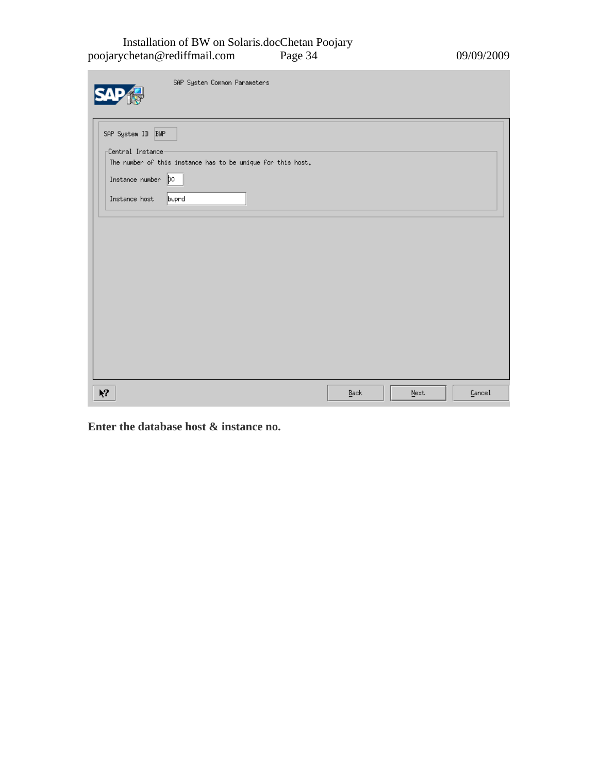#### Installation of BW on Solaris.docChetan Poojary poojarychetan@rediffmail.com Page 34 09/09/2009

m.

| SAP System Common Parameters                                                                         |      |      |        |
|------------------------------------------------------------------------------------------------------|------|------|--------|
| SAP System ID BWP<br>Central Instance<br>The number of this instance has to be unique for this host. |      |      |        |
| Instance number $ p_0 $<br>Instance host<br>bwprd                                                    |      |      |        |
|                                                                                                      |      |      |        |
|                                                                                                      |      |      |        |
|                                                                                                      |      |      |        |
| $\mathbf{N}^2$                                                                                       | Back | Next | Cancel |
|                                                                                                      |      |      |        |

**Enter the database host & instance no.**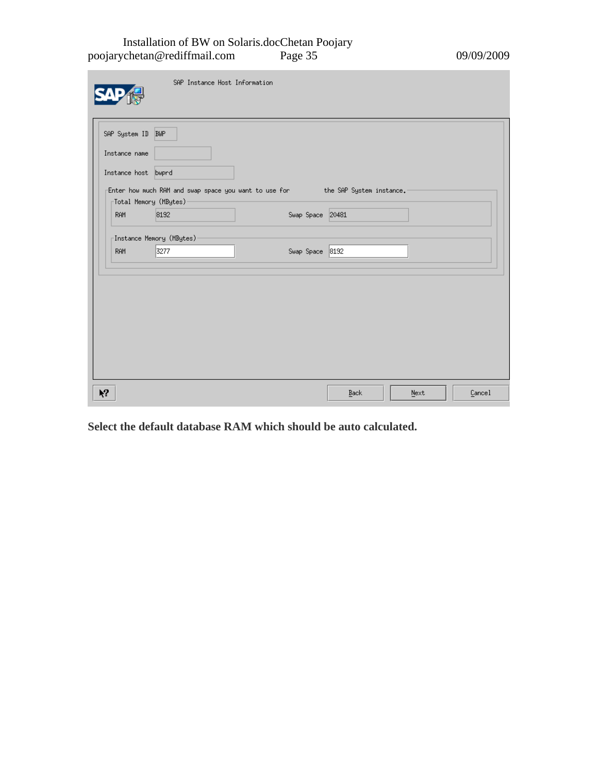Installation of BW on Solaris.docChetan Poojary poojarychetan@rediffmail.com Page 35 09/09/2009

|                                     | SAP Instance Host Information                                                          |                        |
|-------------------------------------|----------------------------------------------------------------------------------------|------------------------|
| SAP System ID BWP<br>Instance name  |                                                                                        |                        |
| Instance host bwprd                 |                                                                                        |                        |
| <sub>[</sub> Total Memory (MBytes)- | Enter how much RAM and swap space you want to use for _______ the SAP System instance. |                        |
| <b>RAM</b>                          | 8192<br>Swap Space 20481                                                               |                        |
|                                     | Instance Memory (MBytes) <sup>.</sup>                                                  |                        |
| <b>RAM</b>                          | 3277<br>Swap Space 8192                                                                |                        |
|                                     |                                                                                        |                        |
|                                     |                                                                                        |                        |
| Ķ,                                  |                                                                                        | Cancel<br>Back<br>Next |

**Select the default database RAM which should be auto calculated.**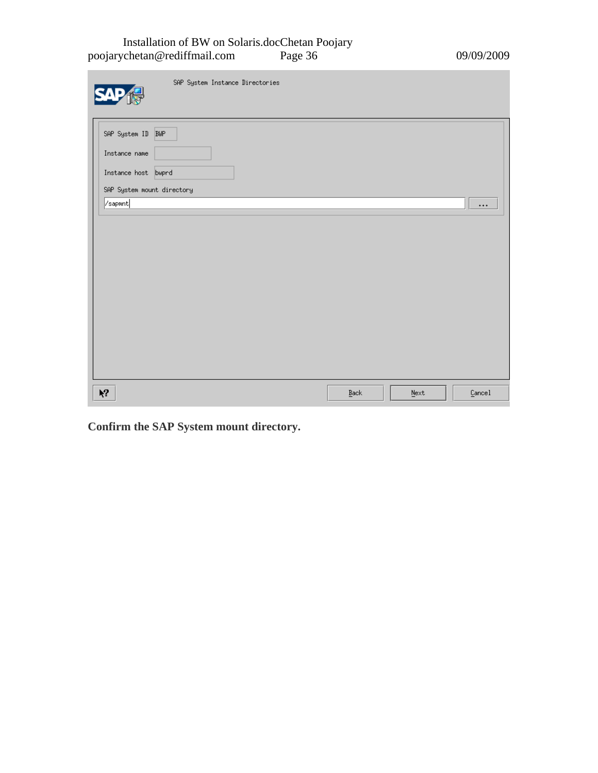#### Installation of BW on Solaris.docChetan Poojary poojarychetan@rediffmail.com Page 36 09/09/2009

| SAP System Instance Directories                                                         |                          |         |          |
|-----------------------------------------------------------------------------------------|--------------------------|---------|----------|
| SAP System ID BWP<br>Instance name<br>Instance host bwprd<br>SAP System mount directory |                          |         |          |
| /sapmnt                                                                                 |                          |         | $\cdots$ |
| $\lambda$                                                                               | $\mathop{\texttt{Back}}$ | $N$ ext | Cancel   |

**Confirm the SAP System mount directory.**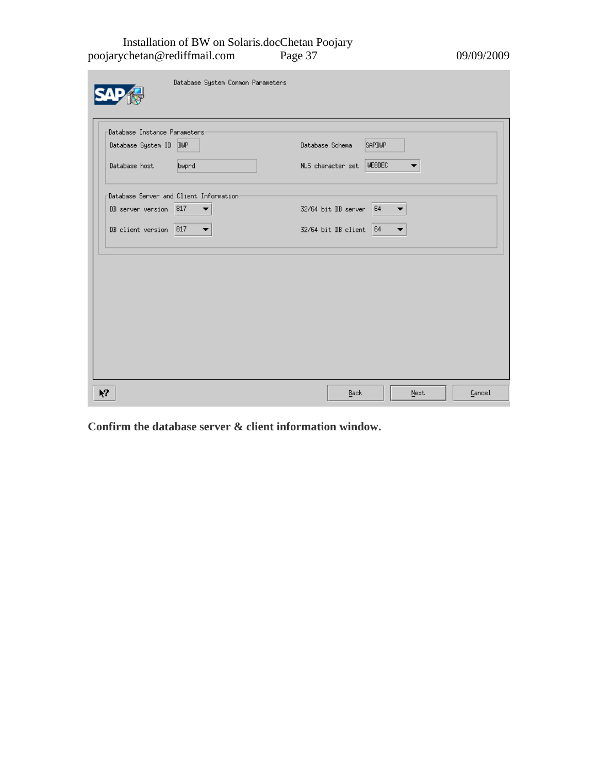#### Installation of BW on Solaris.docChetan Poojary poojarychetan@rediffmail.com Page 37 09/09/2009

| -Database Instance Parameters                       |                                  |
|-----------------------------------------------------|----------------------------------|
| Database System ID BWP                              | Database Schema<br><b>SAPBWP</b> |
| Database host<br>bwprd                              | NLS character set   WE8DEC       |
| -Database Server and Client Information             |                                  |
| $DB$ server version 817<br>$\overline{\phantom{a}}$ | 64<br>32/64 bit DB server        |
| DB client version   817<br>$\overline{\phantom{a}}$ | 32/64 bit DB client<br> 64       |
|                                                     |                                  |
|                                                     |                                  |
|                                                     |                                  |
|                                                     |                                  |
|                                                     |                                  |

**Confirm the database server & client information window.**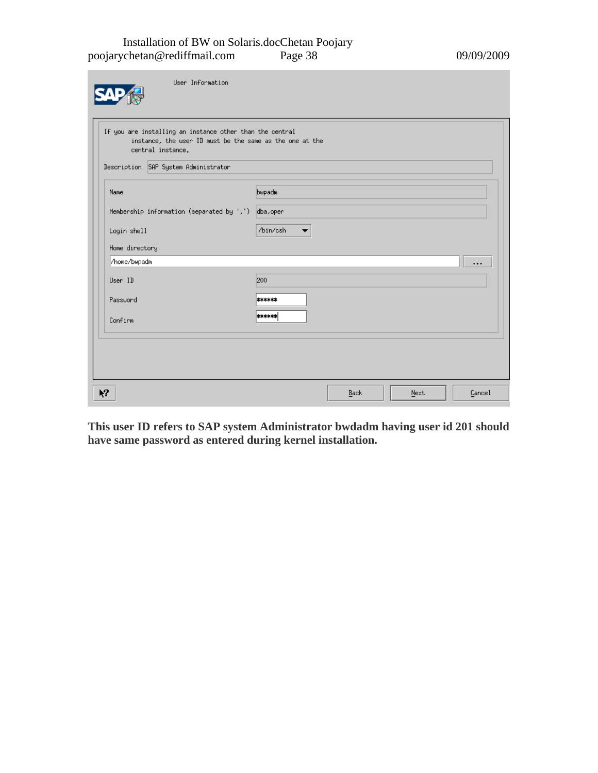#### Installation of BW on Solaris.docChetan Poojary poojarychetan@rediffmail.com Page 38 09/09/2009

| User Information                                                                                                                                                                  |                                      |      |      |          |
|-----------------------------------------------------------------------------------------------------------------------------------------------------------------------------------|--------------------------------------|------|------|----------|
| If you are installing an instance other than the central<br>instance, the user ID must be the same as the one at the<br>central instance.<br>Description SAP System Administrator |                                      |      |      |          |
| Name<br>Membership information (separated by ',') dba, oper                                                                                                                       | bwpadm                               |      |      |          |
| Login shell<br>Home directory                                                                                                                                                     | /bin/csh<br>$\overline{\phantom{a}}$ |      |      |          |
| /home/bwpadm<br>User ID                                                                                                                                                           | 200                                  |      |      | $\cdots$ |
| Password<br>Confirm                                                                                                                                                               | ******<br>******                     |      |      |          |
|                                                                                                                                                                                   |                                      |      |      |          |
| $\mathbf{k}^2$                                                                                                                                                                    |                                      | Back | Next | Cancel   |

**This user ID refers to SAP system Administrator bwdadm having user id 201 should have same password as entered during kernel installation.**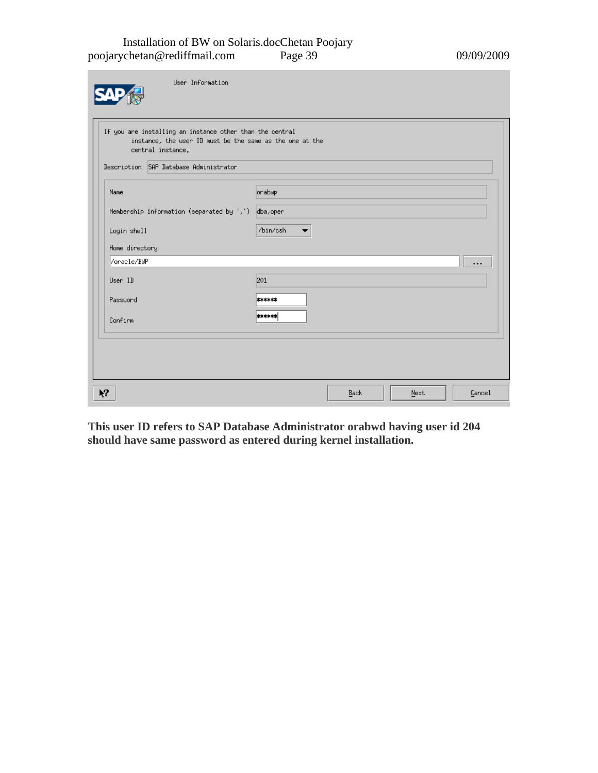#### Installation of BW on Solaris.docChetan Poojary poojarychetan@rediffmail.com Page 39 09/09/2009

| If you are installing an instance other than the central<br>instance, the user ID must be the same as the one at the<br>central instance. |                                      |
|-------------------------------------------------------------------------------------------------------------------------------------------|--------------------------------------|
| Description SAP Database Administrator                                                                                                    |                                      |
| Name                                                                                                                                      | orabwp                               |
| Membership information (separated by ',') $ $ dba, oper                                                                                   |                                      |
| Login shell                                                                                                                               | /bin/csh<br>$\overline{\phantom{a}}$ |
| Home directory                                                                                                                            |                                      |
| /oracle/BWP                                                                                                                               | $\cdots$                             |
| User ID                                                                                                                                   | 201                                  |
| Password                                                                                                                                  | ******                               |
| Confirm                                                                                                                                   | ******                               |
|                                                                                                                                           |                                      |
|                                                                                                                                           |                                      |
|                                                                                                                                           |                                      |
|                                                                                                                                           |                                      |

**This user ID refers to SAP Database Administrator orabwd having user id 204 should have same password as entered during kernel installation.**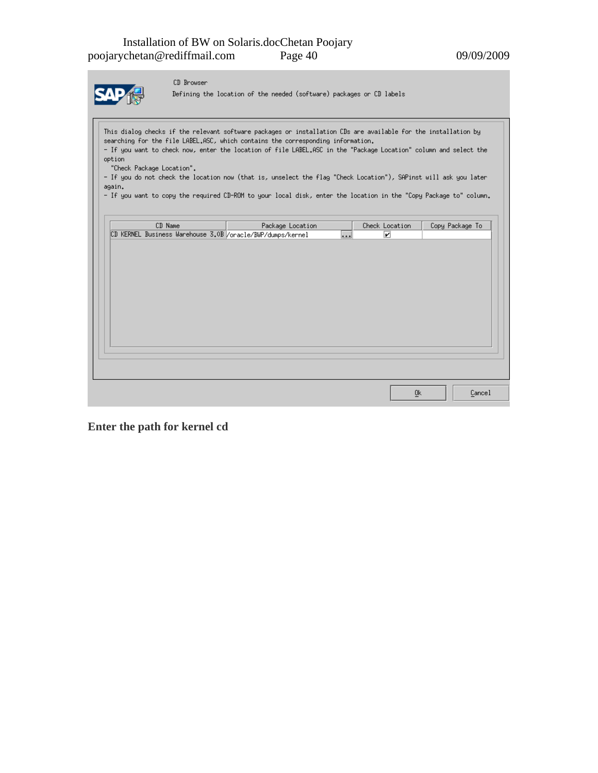|--|

CD Browser

Defining the location of the needed (software) packages or CD labels

This dialog checks if the relevant software packages or installation CDs are available for the installation by searching for the file LABEL.ASC, which contains the corresponding information. - If you want to check now, enter the location of file LABEL, ASC in the "Package Location" column and select the option "Check Package Location".

- If you do not check the location now (that is, unselect the flag "Check Location"), SAPinst will ask you later again.

- If you want to copy the required CD-ROM to your local disk, enter the location in the "Copy Package to" column.

|  | CD Name |  | Package Location                                           |      | Check Location |  | Copy Package To |
|--|---------|--|------------------------------------------------------------|------|----------------|--|-----------------|
|  |         |  | CD KERNEL Business Warehouse 3.0B /oracle/BWP/dumps/kernel | امعط | ☑              |  |                 |
|  |         |  |                                                            |      |                |  |                 |
|  |         |  |                                                            |      |                |  |                 |
|  |         |  |                                                            |      |                |  |                 |
|  |         |  |                                                            |      |                |  |                 |
|  |         |  |                                                            |      |                |  |                 |
|  |         |  |                                                            |      |                |  |                 |
|  |         |  |                                                            |      |                |  |                 |
|  |         |  |                                                            |      |                |  |                 |
|  |         |  |                                                            |      |                |  |                 |
|  |         |  |                                                            |      |                |  |                 |
|  |         |  |                                                            |      |                |  |                 |
|  |         |  |                                                            |      |                |  |                 |
|  |         |  |                                                            |      |                |  |                 |
|  |         |  |                                                            |      |                |  |                 |
|  |         |  |                                                            |      |                |  |                 |
|  |         |  |                                                            |      |                |  |                 |

**Enter the path for kernel cd**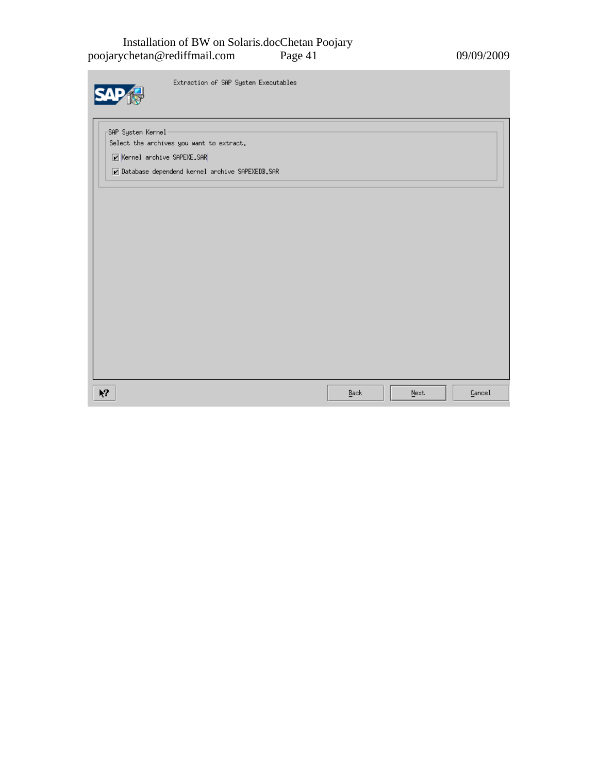#### Installation of BW on Solaris.docChetan Poojary poojarychetan@rediffmail.com Page 41 09/09/2009

Extraction of SAP System Executables

-SAP System Kernel<mark>-</mark> Select the archives you want to extract.

 $\negthinspace\negthinspace$  Kernel archive SAPEXE.SAR

 $\nu$  Database dependend kernel archive SAPEXEDB.SAR

| $\mathbf{k}^2$ | $\underline{\mathtt{Back}}$ | $\underline{\texttt{N}}\texttt{ext}$ | Cancel |
|----------------|-----------------------------|--------------------------------------|--------|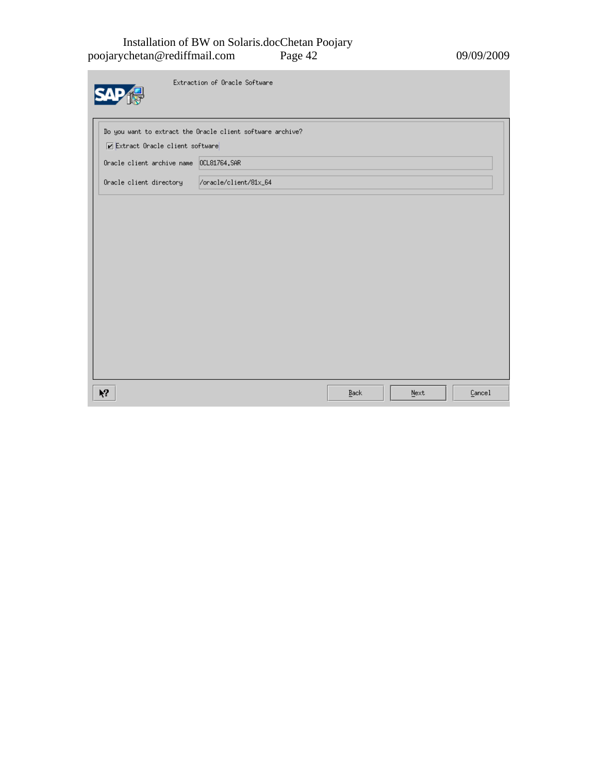#### Installation of BW on Solaris.docChetan Poojary poojarychetan@rediffmail.com Page 42 09/09/2009

m.

|                                         | Extraction of Oracle Software                              |      |      |        |
|-----------------------------------------|------------------------------------------------------------|------|------|--------|
|                                         | Do you want to extract the Oracle client software archive? |      |      |        |
| Extract Oracle client software          |                                                            |      |      |        |
| Oracle client archive name 0CL81764.SAR |                                                            |      |      |        |
| Oracle client directory                 | /oracle/client/81x_64                                      |      |      |        |
|                                         |                                                            |      |      |        |
|                                         |                                                            |      |      |        |
|                                         |                                                            |      |      |        |
|                                         |                                                            |      |      |        |
|                                         |                                                            |      |      |        |
|                                         |                                                            |      |      |        |
|                                         |                                                            |      |      |        |
|                                         |                                                            |      |      |        |
|                                         |                                                            |      |      |        |
|                                         |                                                            |      |      |        |
| $\lambda$                               |                                                            | Back | Next | Cancel |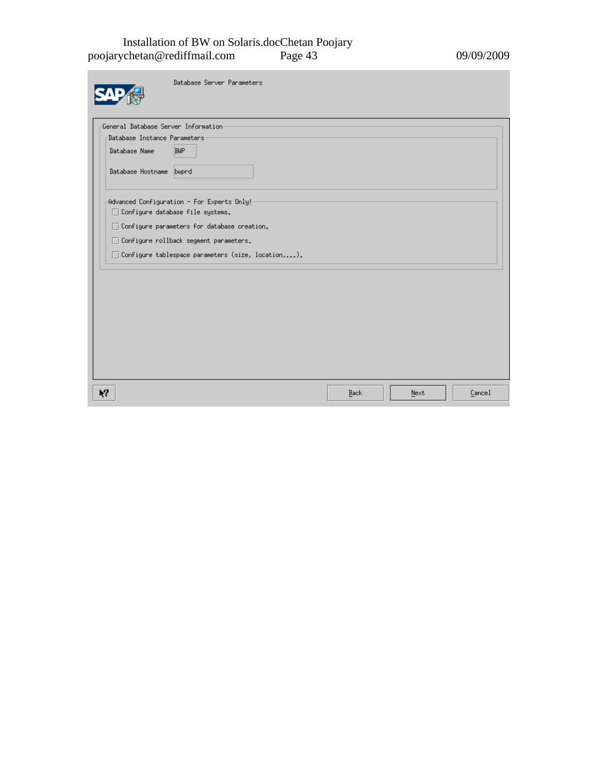#### Installation of BW on Solaris.docChetan Poojary poojarychetan@rediffmail.com Page 43 09/09/2009

| Database Server Parameters                                                                                       |      |      |        |
|------------------------------------------------------------------------------------------------------------------|------|------|--------|
| General Database Server Information<br>-Database Instance Parameters <sup>.</sup><br><b>BWP</b><br>Database Name |      |      |        |
| Database Hostname bwprd                                                                                          |      |      |        |
| Advanced Configuration - For Experts Only!<br>Configure database file systems.<br>$\Box$                         |      |      |        |
| Configure parameters for database creation.<br>П<br>Configure rollback segment parameters.<br>□                  |      |      |        |
| Configure tablespace parameters (size, location,).<br>H                                                          |      |      |        |
|                                                                                                                  |      |      |        |
|                                                                                                                  |      |      |        |
|                                                                                                                  |      |      |        |
| Ķ?                                                                                                               | Back | Next | Cancel |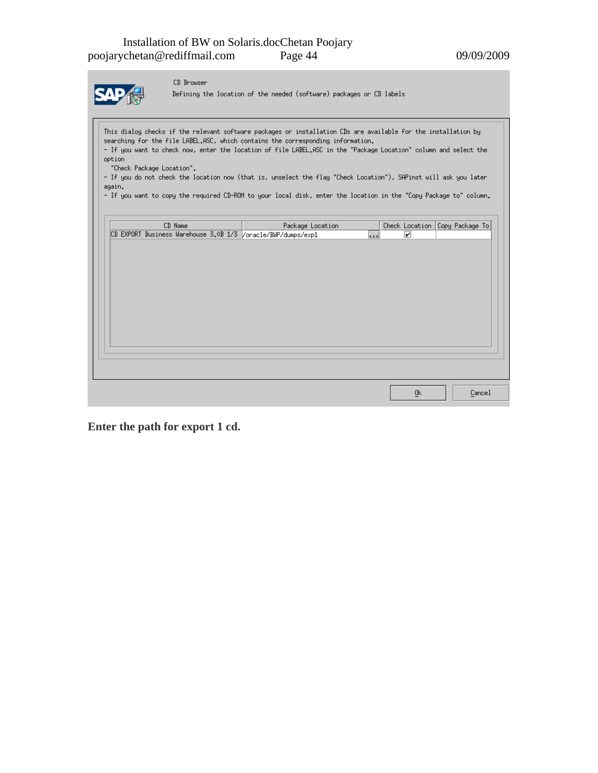

CD Browser

Defining the location of the needed (software) packages or CD labels

This dialog checks if the relevant software packages or installation CDs are available for the installation by searching for the file LABEL.ASC, which contains the corresponding information. - If you want to check now, enter the location of file LABEL.ASC in the "Package Location" column and select the option "Check Package Location".

- If you do not check the location now (that is, unselect the flag "Check Location"), SAPinst will ask you later  $again.$ 

- If you want to copy the required CD-ROM to your local disk, enter the location in the "Copy Package to" column.

| CD Name                                                      | Package Location |   | Check Location Copy Package To |
|--------------------------------------------------------------|------------------|---|--------------------------------|
| CD EXPORT Business Warehouse 3.0B 1/3 /oracle/BWP/dumps/exp1 | $\ddots$         | ☑ |                                |
|                                                              |                  |   |                                |
|                                                              |                  |   |                                |
|                                                              |                  |   |                                |
|                                                              |                  |   |                                |
|                                                              |                  |   |                                |
|                                                              |                  |   |                                |
|                                                              |                  |   |                                |
|                                                              |                  |   |                                |
|                                                              |                  |   |                                |
|                                                              |                  |   |                                |
|                                                              |                  |   |                                |
|                                                              |                  |   |                                |
|                                                              |                  |   |                                |
|                                                              |                  |   |                                |
|                                                              |                  |   |                                |
|                                                              |                  |   |                                |
|                                                              |                  |   |                                |

**Enter the path for export 1 cd.**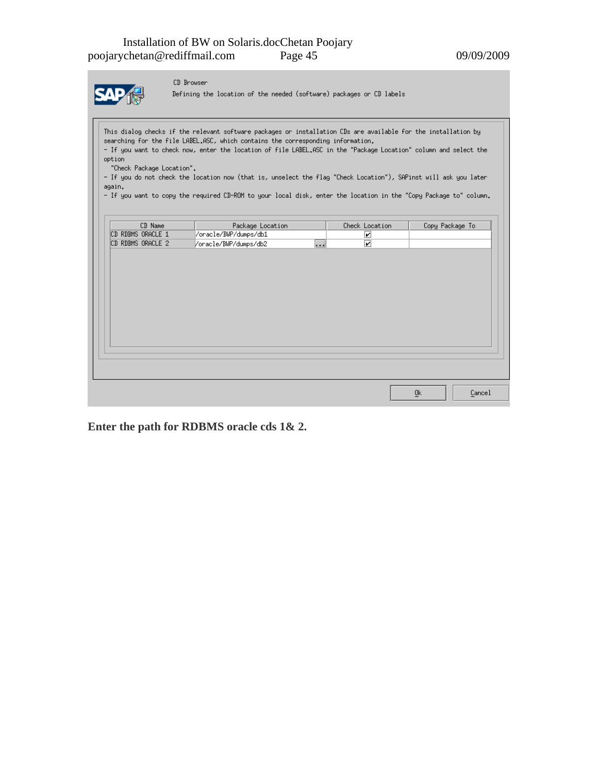|--|

CD Browser

Defining the location of the needed (software) packages or CD labels

This dialog checks if the relevant software packages or installation CDs are available for the installation by searching for the file LABEL.ASC, which contains the corresponding information. - If you want to check now, enter the location of file LABEL.ASC in the "Package Location" column and select the option "Check Package Location". - If you do not check the location now (that is, unselect the flag "Check Location"), SAPinst will ask you later again.

- If you want to copy the required CD-ROM to your local disk, enter the location in the "Copy Package to" column.

| CD Name           | Package Location      |                     | Check Location          | Copy Package To            |        |
|-------------------|-----------------------|---------------------|-------------------------|----------------------------|--------|
| CD RDBMS ORACLE 1 | /oracle/BWP/dumps/db1 |                     | ☑                       |                            |        |
| CD RDBMS ORACLE 2 | /oracle/BWP/dumps/db2 | $\overline{\cdots}$ | $\overline{\mathbf{z}}$ |                            |        |
|                   |                       |                     |                         |                            |        |
|                   |                       |                     |                         |                            |        |
|                   |                       |                     |                         |                            |        |
|                   |                       |                     |                         |                            |        |
|                   |                       |                     |                         |                            |        |
|                   |                       |                     |                         |                            |        |
|                   |                       |                     |                         |                            |        |
|                   |                       |                     |                         |                            |        |
|                   |                       |                     |                         |                            |        |
|                   |                       |                     |                         |                            |        |
|                   |                       |                     |                         |                            |        |
|                   |                       |                     |                         |                            |        |
|                   |                       |                     |                         |                            |        |
|                   |                       |                     |                         |                            |        |
|                   |                       |                     |                         |                            |        |
|                   |                       |                     |                         |                            |        |
|                   |                       |                     |                         | $\underline{0} \mathsf{k}$ | Cancel |

**Enter the path for RDBMS oracle cds 1& 2.**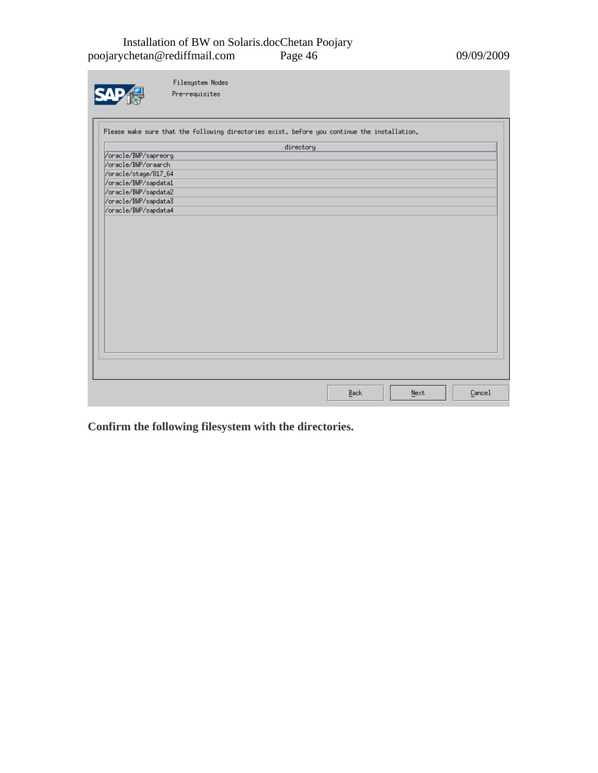#### Installation of BW on Solaris.docChetan Poojary poojarychetan@rediffmail.com Page 46 09/09/2009

|                                             | Filesystem Nodes<br>Pre-requisites                                                           |           |      |      |        |
|---------------------------------------------|----------------------------------------------------------------------------------------------|-----------|------|------|--------|
|                                             | Please make sure that the following directories exist, before you continue the installation. |           |      |      |        |
|                                             |                                                                                              | directory |      |      |        |
| /oracle/BWP/sapreorg<br>/oracle/BWP/oraarch |                                                                                              |           |      |      |        |
| /oracle/stage/817_64                        |                                                                                              |           |      |      |        |
| /oracle/BWP/sapdata1                        |                                                                                              |           |      |      |        |
| /oracle/BWP/sapdata2                        |                                                                                              |           |      |      |        |
| /oracle/BWP/sapdata3                        |                                                                                              |           |      |      |        |
| /oracle/BWP/sapdata4                        |                                                                                              |           |      |      |        |
|                                             |                                                                                              |           |      |      |        |
|                                             |                                                                                              |           |      |      |        |
|                                             |                                                                                              |           |      |      |        |
|                                             |                                                                                              |           |      |      |        |
|                                             |                                                                                              |           |      |      |        |
|                                             |                                                                                              |           |      |      |        |
|                                             |                                                                                              |           |      |      |        |
|                                             |                                                                                              |           |      |      |        |
|                                             |                                                                                              |           |      |      |        |
|                                             |                                                                                              |           |      |      |        |
|                                             |                                                                                              |           |      |      |        |
|                                             |                                                                                              |           |      |      |        |
|                                             |                                                                                              |           |      |      |        |
|                                             |                                                                                              |           |      |      |        |
|                                             |                                                                                              |           |      |      |        |
|                                             |                                                                                              |           |      |      |        |
|                                             |                                                                                              |           |      |      |        |
|                                             |                                                                                              |           |      |      |        |
|                                             |                                                                                              |           | Back | Next | Cancel |

**Confirm the following filesystem with the directories.**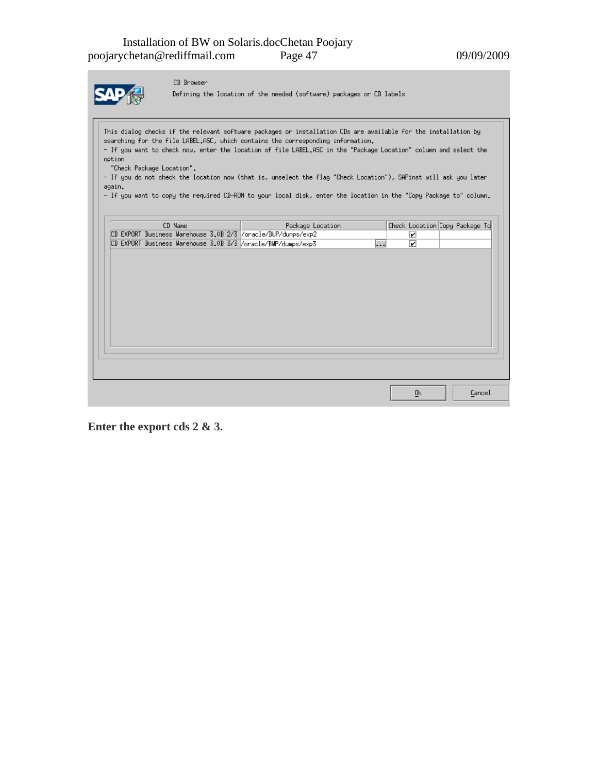

CD Browser

Defining the location of the needed (software) packages or CD labels

This dialog checks if the relevant software packages or installation CDs are available for the installation by searching for the file LABEL.ASC, which contains the corresponding information. - If you want to check now, enter the location of file LABEL.ASC in the "Package Location" column and select the option "Check Package Location".

- If you do not check the location now (that is, unselect the flag "Check Location"), SAPinst will ask you later again.

- If you want to copy the required CD-ROM to your local disk, enter the location in the "Copy Package to" column.

|  | CD Name |  | Package Location                                                           | Check Location Copy Package To |        |  |
|--|---------|--|----------------------------------------------------------------------------|--------------------------------|--------|--|
|  |         |  | CD EXPORT Business Warehouse 3.0B 2/3 /oracle/BWP/dumps/exp2               | ☑                              |        |  |
|  |         |  | CD EXPORT Business Warehouse 3.0B 3/3 /oracle/BWP/dumps/exp3<br>$\dddotsc$ | ☑                              |        |  |
|  |         |  |                                                                            |                                |        |  |
|  |         |  |                                                                            |                                |        |  |
|  |         |  |                                                                            |                                |        |  |
|  |         |  |                                                                            |                                |        |  |
|  |         |  |                                                                            |                                |        |  |
|  |         |  |                                                                            |                                |        |  |
|  |         |  |                                                                            |                                |        |  |
|  |         |  |                                                                            |                                |        |  |
|  |         |  |                                                                            |                                |        |  |
|  |         |  |                                                                            |                                |        |  |
|  |         |  |                                                                            |                                |        |  |
|  |         |  |                                                                            |                                |        |  |
|  |         |  |                                                                            |                                |        |  |
|  |         |  |                                                                            |                                |        |  |
|  |         |  |                                                                            |                                |        |  |
|  |         |  |                                                                            | <u>Ok</u>                      | Cancel |  |

**Enter the export cds 2 & 3.**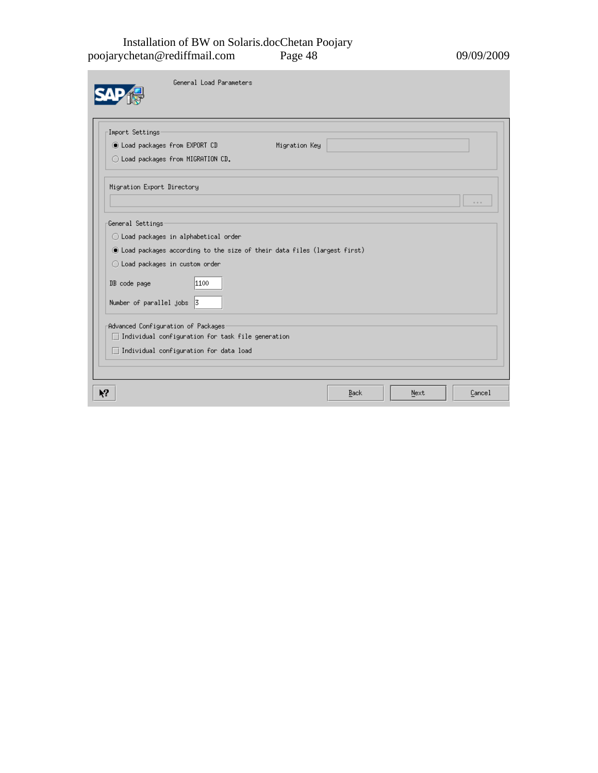#### Installation of BW on Solaris.docChetan Poojary poojarychetan@rediffmail.com Page 48 09/09/2009

m.

| Import Settings                                                           |      |               |  |                                      |
|---------------------------------------------------------------------------|------|---------------|--|--------------------------------------|
| toad packages from EXPORT CD                                              |      | Migration Key |  |                                      |
| ◯ Load packages from MIGRATION CD.                                        |      |               |  |                                      |
| Migration Export Directory                                                |      |               |  |                                      |
|                                                                           |      |               |  | $\ddot{\phi} \rightarrow \dot{\phi}$ |
| General Settings                                                          |      |               |  |                                      |
| ◯ Load packages in alphabetical order                                     |      |               |  |                                      |
| © Load packages according to the size of their data files (largest first) |      |               |  |                                      |
| ◯ Load packages in custom order                                           |      |               |  |                                      |
| DB code page                                                              | 1100 |               |  |                                      |
| Number of parallel jobs 3                                                 |      |               |  |                                      |
| Advanced Configuration of Packages                                        |      |               |  |                                      |
| Individual configuration for task file generation<br>$\mathcal{L}$        |      |               |  |                                      |
| $\Box$ Individual configuration for data load                             |      |               |  |                                      |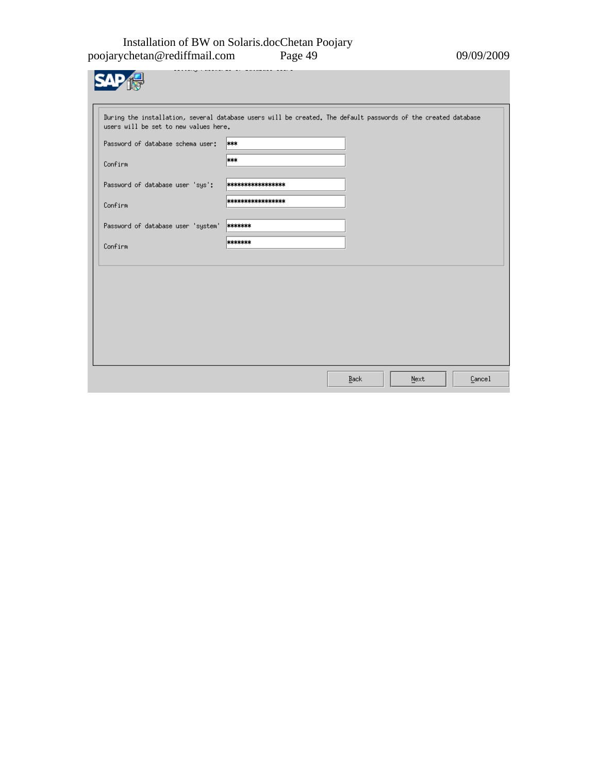#### Installation of BW on Solaris.docChetan Poojary poojarychetan@rediffmail.com Page 49 09/09/2009

**SAP** 

| During the installation, several database users will be created. The default passwords of the created database<br>users will be set to new values here. |                    |      |      |        |
|---------------------------------------------------------------------------------------------------------------------------------------------------------|--------------------|------|------|--------|
| Password of database schema user:                                                                                                                       | ***                |      |      |        |
| Confirm                                                                                                                                                 | ***                |      |      |        |
| Password of database user 'sys':                                                                                                                        | ****************** |      |      |        |
| Confirm                                                                                                                                                 | ****************** |      |      |        |
| Password of database user 'system'                                                                                                                      | *******            |      |      |        |
| Confirm                                                                                                                                                 | *******            |      |      |        |
|                                                                                                                                                         |                    |      |      |        |
|                                                                                                                                                         |                    |      |      |        |
|                                                                                                                                                         |                    |      |      |        |
|                                                                                                                                                         |                    |      |      |        |
|                                                                                                                                                         |                    |      |      |        |
|                                                                                                                                                         |                    |      |      |        |
|                                                                                                                                                         |                    | Back | Next | Cancel |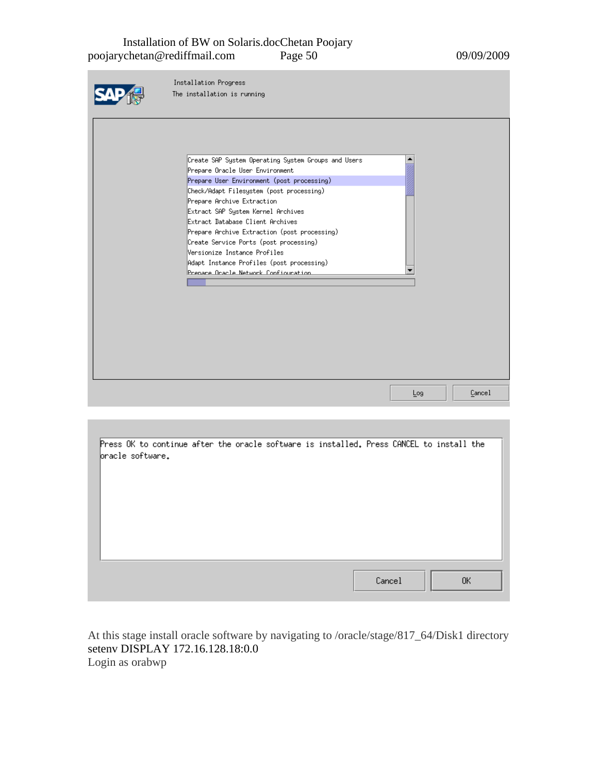#### Installation of BW on Solaris.docChetan Poojary poojarychetan@rediffmail.com Page 50 09/09/2009

| Installation Progress                               |     |        |
|-----------------------------------------------------|-----|--------|
| The installation is running                         |     |        |
|                                                     |     |        |
|                                                     |     |        |
|                                                     |     |        |
|                                                     |     |        |
|                                                     |     |        |
| Create SAP System Operating System Groups and Users |     |        |
| Prepare Oracle User Environment                     |     |        |
| Prepare User Environment (post processing)          |     |        |
| Check/Adapt Filesystem (post processing)            |     |        |
| Prepare Archive Extraction                          |     |        |
| Extract SAP System Kernel Archives                  |     |        |
| Extract Database Client Archives                    |     |        |
| Prepare Archive Extraction (post processing)        |     |        |
| Create Service Ports (post processing)              |     |        |
| Versionize Instance Profiles                        |     |        |
| Adapt Instance Profiles (post processing)           |     |        |
| Prenare Oracle Network Configuration                |     |        |
|                                                     |     |        |
|                                                     |     |        |
|                                                     |     |        |
|                                                     |     |        |
|                                                     |     |        |
|                                                     |     |        |
|                                                     |     |        |
|                                                     |     |        |
|                                                     |     |        |
|                                                     |     |        |
|                                                     | Log | Cancel |
|                                                     |     |        |

| Press OK to continue after the oracle software is installed. Press CANCEL to install the<br>bracle software. |  |  |  |        |  |     |  |
|--------------------------------------------------------------------------------------------------------------|--|--|--|--------|--|-----|--|
|                                                                                                              |  |  |  |        |  |     |  |
|                                                                                                              |  |  |  |        |  |     |  |
|                                                                                                              |  |  |  |        |  |     |  |
|                                                                                                              |  |  |  |        |  |     |  |
|                                                                                                              |  |  |  | Cancel |  | OK. |  |

At this stage install oracle software by navigating to /oracle/stage/817\_64/Disk1 directory setenv DISPLAY 172.16.128.18:0.0 Login as orabwp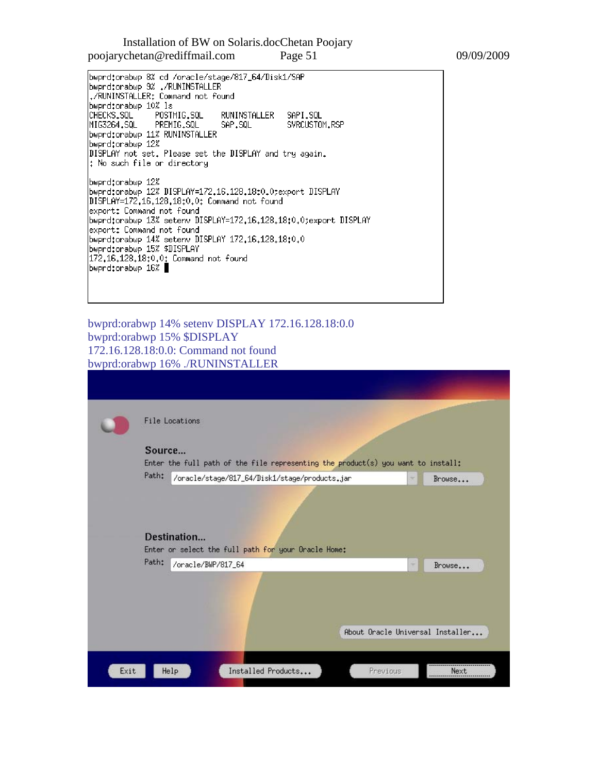Installation of BW on Solaris.docChetan Poojary poojarychetan@rediffmail.com Page 51 09/09/2009

bwprd:orabwp 8% cd /oracle/stage/817\_64/Disk1/SAP<br>bwprd:orabwp 9% ./RUNINSTALLER ./RUNINSTALLER: Command not found bwprd:orabwp 10% ls CHECKS.SQL RUNINSTALLER SAPI.SQL POSTMIG.SQL MIG3264.SQL PREMIG.SQL SAP.SQL SVRCUSTOM.RSP bwprd:orabwp 11% RUNINSTALLER bwprd:orabwp 12% DISPLAY not set. Please set the DISPLAY and try again. : No such file or directory bwprd:orabwp 12% bwprdtorabwp 12% DISPLAY=172.16.128.18:0.0texport DISPLAY DISPLAY=172,16,128,18:0,0: Command not found export: Command not found bwprd:orabwp 13% setenv DISPLAY=172.16.128.18:0.0;export DISPLAY export: Command not found bwprd:orabwp 14% setenv DISPLAY 172.16.128.18:0.0 bwprd:orabwp 15% \$DISPLAY 172.16.128.18:0.0: Command not found bwprd:orabwp 16%

bwprd:orabwp 14% setenv DISPLAY 172.16.128.18:0.0 bwprd:orabwp 15% \$DISPLAY 172.16.128.18:0.0: Command not found bwprd:orabwp 16% ./RUNINSTALLER

|        | File Locations                                                                   |        |        |
|--------|----------------------------------------------------------------------------------|--------|--------|
| Source |                                                                                  |        |        |
|        | Enter the full path of the file representing the product(s) you want to install: |        |        |
| Path:  | /oracle/stage/817_64/Disk1/stage/products.jar                                    | ×      | Brouse |
|        | Destination                                                                      |        |        |
| Path:  | Enter or select the full path for your Oracle Home:<br>/oracle/BWP/817_64        | $\sim$ | Browse |
|        |                                                                                  |        |        |
|        |                                                                                  |        |        |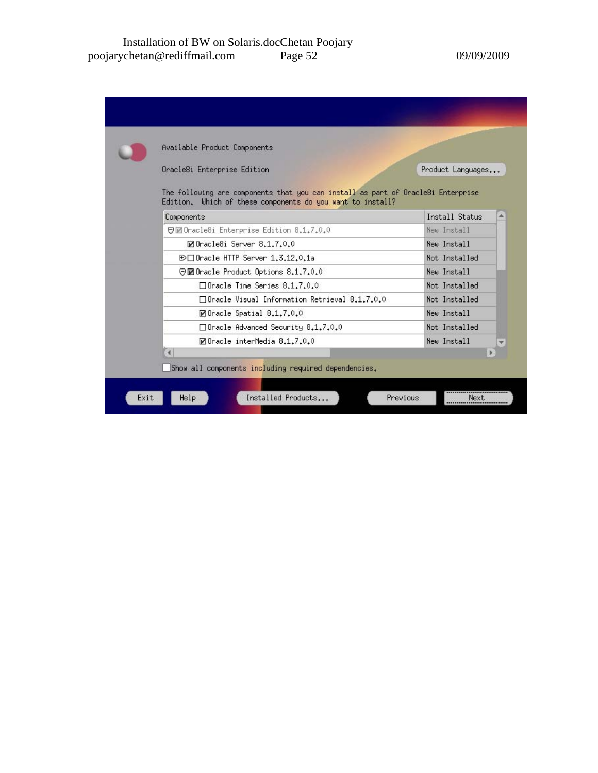| Available Product Components                                                                                                                   |                   |
|------------------------------------------------------------------------------------------------------------------------------------------------|-------------------|
| Oracle8i Enterprise Edition                                                                                                                    | Product Languages |
| The following are components that you can install as part of Oracle8i Enterprise<br>Edition. Which of these components do you want to install? |                   |
| Components                                                                                                                                     | Install Status    |
| 日回Oracle8i Enterprise Edition 8.1.7.0.0                                                                                                        | New Install       |
| ■Oracle8i Server 8.1.7.0.0                                                                                                                     | New Install       |
| $\oplus \Box$ Oracle HTTP Server 1.3.12.0.1a                                                                                                   | Not. Installed    |
| ⊖⊠Oracle Product Options 8.1.7.0.0                                                                                                             | New Install       |
| □ Oracle Time Series 8.1.7.0.0                                                                                                                 | Not Installed     |
| □ Oracle Visual Information Retrieval 8.1.7.0.0                                                                                                | Not Installed     |
| ■Oracle Spatial 8.1.7.0.0                                                                                                                      | New Install       |
| $\Box$ Oracle Advanced Security 8.1.7.0.0                                                                                                      | Not Installed     |
| MOracle interMedia 8.1.7.0.0                                                                                                                   | New Install       |
|                                                                                                                                                |                   |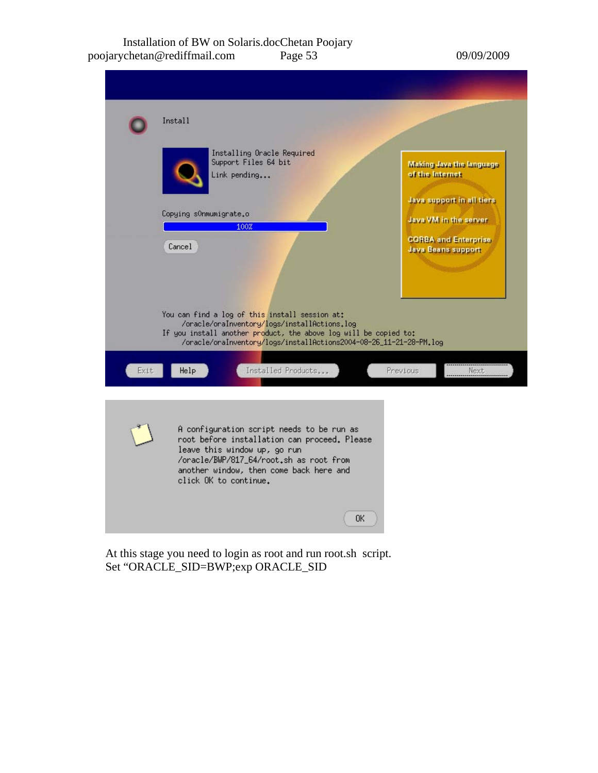#### Installation of BW on Solaris.docChetan Poojary poojarychetan@rediffmail.com Page 53 09/09/2009



At this stage you need to login as root and run root.sh script. Set "ORACLE\_SID=BWP;exp ORACLE\_SID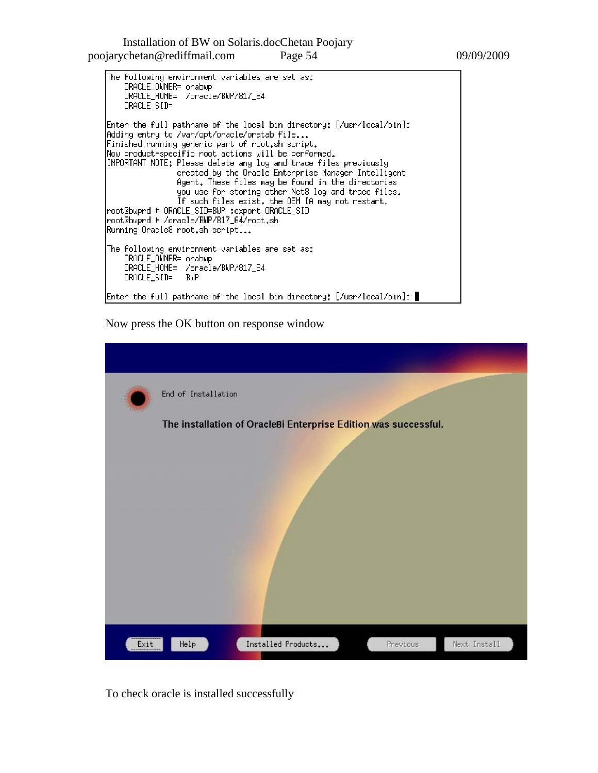Installation of BW on Solaris.docChetan Poojary poojarychetan@rediffmail.com Page 54 09/09/2009

The following environment variables are set as: ORACLE\_OWNER= orabwp ORACLE\_HOME= /oracle/BWP/817\_64 ORACLE\_SID= Enter the full pathname of the local bin directory: [/usr/local/bin]: Adding entry to /var/opt/oracle/oratab file... Finished running generic part of root.sh script. Now product-specific root actions will be performed. IMPORTANT NOTE: Please delete any log and trace files previously created by the Oracle Enterprise Manager Intelligent Agent. These files may be found in the directories you use for storing other Net8 log and trace files. If such files exist, the OEM IA may not restart.<br>root@bwprd # ORACLE\_SID=BWP ;export ORACLE\_SID<br>root@bwprd # /oracle/BWP/817\_64/root.sh Running Oracle8 root.sh script... The following environment variables are set as: ORACLE\_OWNER= orabwp<br>ORACLE\_HOME= /oracle/BWP/817\_64 ORACLE\_SID= BWP Enter the full pathname of the local bin directory: [/usr/local/bin]: |

Now press the OK button on response window

|      | End of Installation                                             |          |              |
|------|-----------------------------------------------------------------|----------|--------------|
|      | The installation of Oracle8i Enterprise Edition was successful. |          |              |
|      |                                                                 |          |              |
|      |                                                                 |          |              |
|      |                                                                 |          |              |
|      |                                                                 |          |              |
|      |                                                                 |          |              |
|      |                                                                 |          |              |
|      |                                                                 |          |              |
| Exit | Installed Products<br>Help                                      | Previous | Next Install |

To check oracle is installed successfully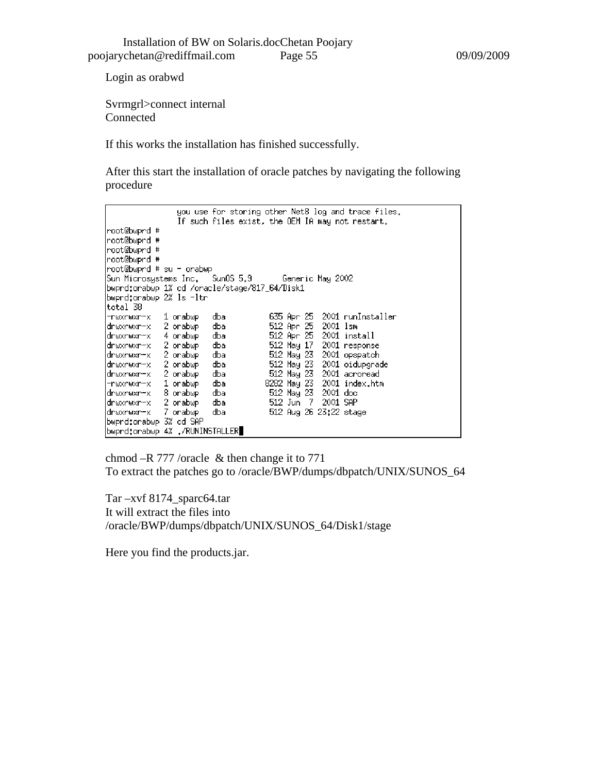Login as orabwd

Svrmgrl>connect internal Connected

If this works the installation has finished successfully.

After this start the installation of oracle patches by navigating the following procedure

```
you use for storing other Net8 log and trace files.
                      If such files exist, the OEM IA may not restart.
root@bwprd #
root@bwprd #
root@bwprd #
root@bwprd #
root@bwprd # su - orabwp
Sun Microsystems Inc. Sun0S 5.9
                                                      Generic May 2002
bwprd:orabwp 1% cd /oracle/stage/817_64/Disk1
bwprd:orabwp 2% ls -ltr
total 38
                                                  635 Apr 25 2001 runInstaller
-rwxrwxr-x 1 orabwp
                                dba
Twxrwxr-x 1 orabwp dba<br>drwxrwxr-x 4 orabwp dba<br>drwxrwxr-x 2 orabwp dba<br>drwxrwxr-x 2 orabwp dba<br>drwxrwxr-x 2 orabwp dba
                                                  512 Apr 25 2001 1sm
                                                  912 Hpr 25 2001 Ism<br>512 Hpr 25 2001 install<br>512 May 17 2001 response<br>512 May 23 2001 opspatch<br>512 May 23 2001 oidupgrade<br>512 May 23 2001 acroread
drwxrwxr-x 2-orabwp dba
                                                 8282 May 23 2001 index.htm
-rwxrwxr-x  1 orabwp
                                dba
                                                  512 May 23 2001 doc<br>512 Jun 7 2001 doc
drwxrwxr-x 8 orabwp
                                dba
drwxrwxr-x 2 orabwp<br>drwxrwxr-x 7 orabwp
                                dba
                                dba
                                                  512 Aug 26 23:22 stage
bwprd:orabwp 3% cd SAP
bwprd:orabwp 4% ./RUNINSTALLER
```
chmod –R 777 /oracle & then change it to 771 To extract the patches go to /oracle/BWP/dumps/dbpatch/UNIX/SUNOS\_64

Tar –xvf 8174\_sparc64.tar It will extract the files into /oracle/BWP/dumps/dbpatch/UNIX/SUNOS\_64/Disk1/stage

Here you find the products.jar.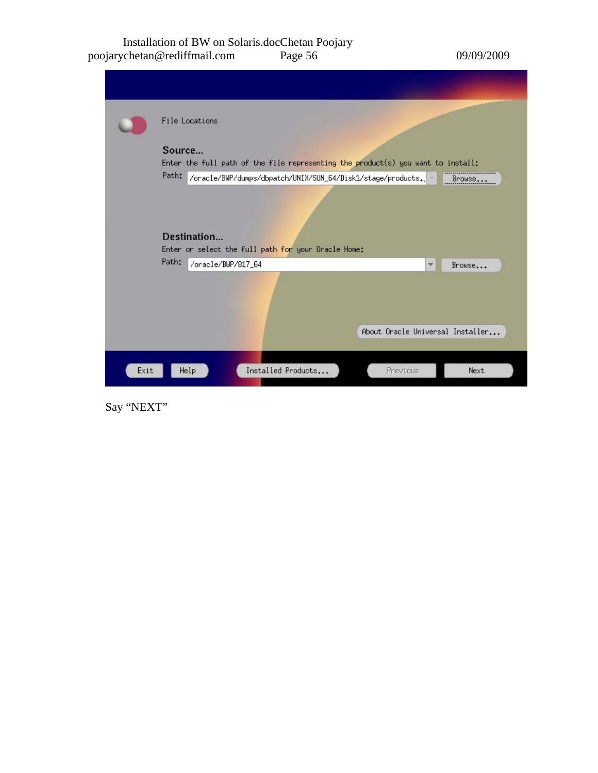#### Installation of BW on Solaris.docChetan Poojary poojarychetan@rediffmail.com Page 56 09/09/2009

|      | Source | <b>File Locations</b><br>Enter the full path of the file representing the product(s) you want to install:                         |                                  |              |        |
|------|--------|-----------------------------------------------------------------------------------------------------------------------------------|----------------------------------|--------------|--------|
|      | Path:  | /oracle/BWP/dumps/dbpatch/UNIX/SUN_64/Disk1/stage/products.<br>Destination<br>Enter or select the full path for your Oracle Home: |                                  |              | Browse |
|      | Path:  | /oracle/BWP/817_64                                                                                                                | About Oracle Universal Installer | $\mathbf{v}$ | Brouse |
| Exit | Help   | Installed Products                                                                                                                | Previous                         |              | Next   |

Say "NEXT"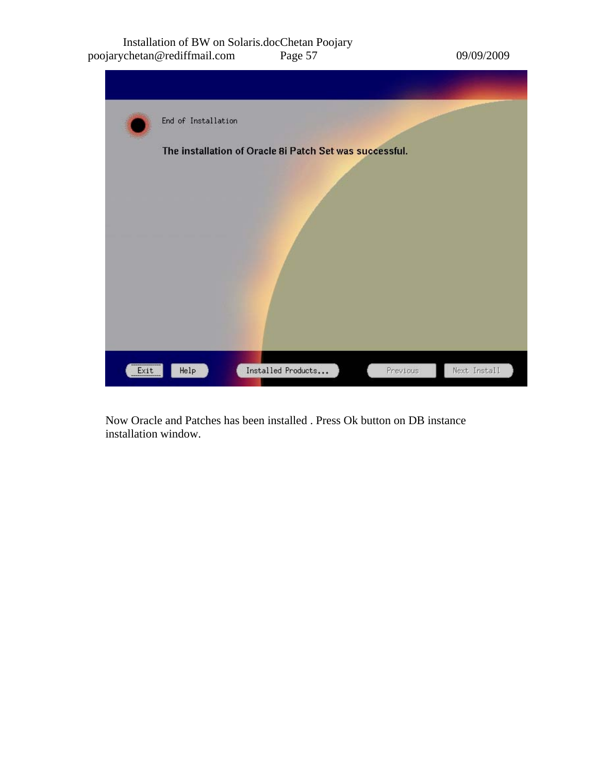#### Installation of BW on Solaris.docChetan Poojary poojarychetan@rediffmail.com Page 57 09/09/2009

|      | End of Installation |                                                         |          |              |
|------|---------------------|---------------------------------------------------------|----------|--------------|
|      |                     | The installation of Oracle 8i Patch Set was successful. |          |              |
|      |                     |                                                         |          |              |
|      |                     |                                                         |          |              |
|      |                     |                                                         |          |              |
|      |                     |                                                         |          |              |
|      |                     |                                                         |          |              |
| Exit | He1p                | Installed Products                                      | Previous | Next Install |

Now Oracle and Patches has been installed . Press Ok button on DB instance installation window.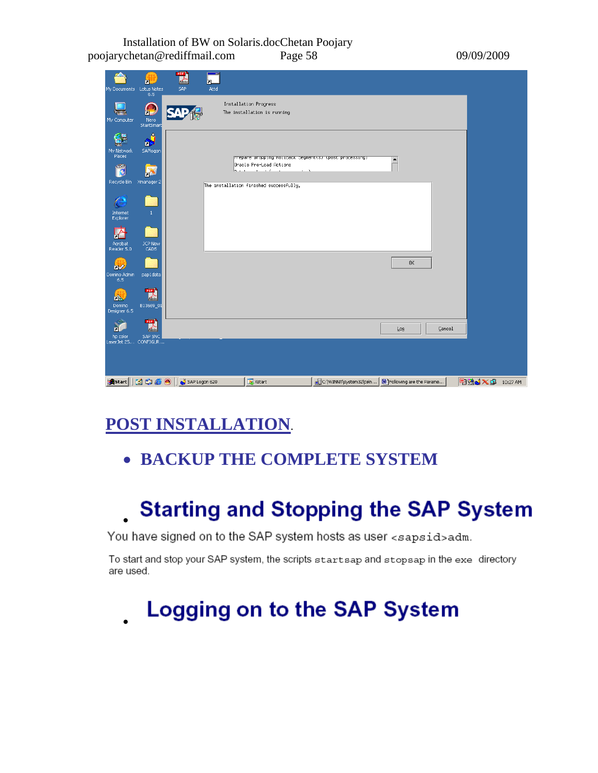Installation of BW on Solaris.docChetan Poojary poojarychetan@rediffmail.com Page 58 09/09/2009

| My Documents Lotus Notes<br>= 6.5        |                                | <b>POP</b><br>SAP | --<br>⊼∟<br>Attd |                                                                                    |  |                                                         |        |                 |  |
|------------------------------------------|--------------------------------|-------------------|------------------|------------------------------------------------------------------------------------|--|---------------------------------------------------------|--------|-----------------|--|
| My Computer                              | £<br>Nero<br>StartSmart        |                   |                  | Installation Progress<br>The installation is running                               |  |                                                         |        |                 |  |
| My Network<br>Places                     | ٥<br>ìМ<br>SAPlogon            |                   |                  | prepare uropping Kollback Segment(s) (post processing)                             |  | $\blacktriangle$                                        |        |                 |  |
| يتخص<br>g<br>Recycle Bin Xmanager 2      |                                |                   |                  | Oracle Pre-Load Actions<br>base and and<br>The installation finished successfully. |  |                                                         |        |                 |  |
| Ê<br>Internet<br>Explorer                |                                |                   |                  |                                                                                    |  |                                                         |        |                 |  |
| ш<br>Acrobat<br>Reader 5.0               | JCP New<br>CADS                |                   |                  |                                                                                    |  | 0K                                                      |        |                 |  |
| <b>inv</b><br>Domino Admin<br>6.5        | pap1data<br><b>POP</b>         |                   |                  |                                                                                    |  |                                                         |        |                 |  |
| <b>DA</b><br>Domino<br>Designer 6.5<br>п | B13669_01<br>PDF<br>$\epsilon$ |                   |                  |                                                                                    |  | Log                                                     | Cancel |                 |  |
| hp color<br>LaserJet 25 CONFIGUR         | SAP SNC                        |                   |                  |                                                                                    |  |                                                         |        |                 |  |
| <b>A</b> Start     [2] (3) @ @           |                                | SAP Logon 620     |                  | X Xstart                                                                           |  | C:\WINNT\system32\teln <b></b> Following are the Parame |        | 明白 × 日 10:27 AM |  |

## **POST INSTALLATION**.

•

•

## • **BACKUP THE COMPLETE SYSTEM**

# **Starting and Stopping the SAP System**

You have signed on to the SAP system hosts as user <sapsid>adm.

To start and stop your SAP system, the scripts startsap and stopsap in the exe directory are used.

# **Logging on to the SAP System**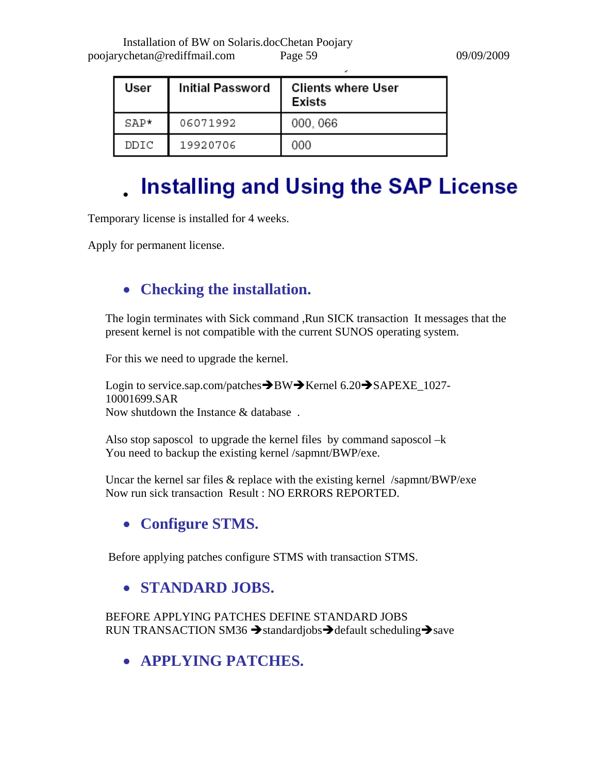| User   | <b>Initial Password</b> | <b>Clients where User</b><br><b>Exists</b> |
|--------|-------------------------|--------------------------------------------|
| $SAP*$ | 06071992                | 000, 066                                   |
| DDIC   | 19920706                | 000                                        |

## **Installing and Using the SAP License**

Temporary license is installed for 4 weeks.

Apply for permanent license.

## • **Checking the installation.**

The login terminates with Sick command ,Run SICK transaction It messages that the present kernel is not compatible with the current SUNOS operating system.

For this we need to upgrade the kernel.

Login to service.sap.com/patches $\rightarrow$ BW $\rightarrow$ Kernel 6.20 $\rightarrow$ SAPEXE\_1027-10001699.SAR Now shutdown the Instance & database .

Also stop saposcol to upgrade the kernel files by command saposcol –k You need to backup the existing kernel /sapmnt/BWP/exe.

Uncar the kernel sar files & replace with the existing kernel /sapmnt/BWP/exe Now run sick transaction Result : NO ERRORS REPORTED.

## • **Configure STMS.**

Before applying patches configure STMS with transaction STMS.

### • **STANDARD JOBS.**

BEFORE APPLYING PATCHES DEFINE STANDARD JOBS RUN TRANSACTION SM36  $\rightarrow$  standardjobs $\rightarrow$  default scheduling  $\rightarrow$  save

• **APPLYING PATCHES.**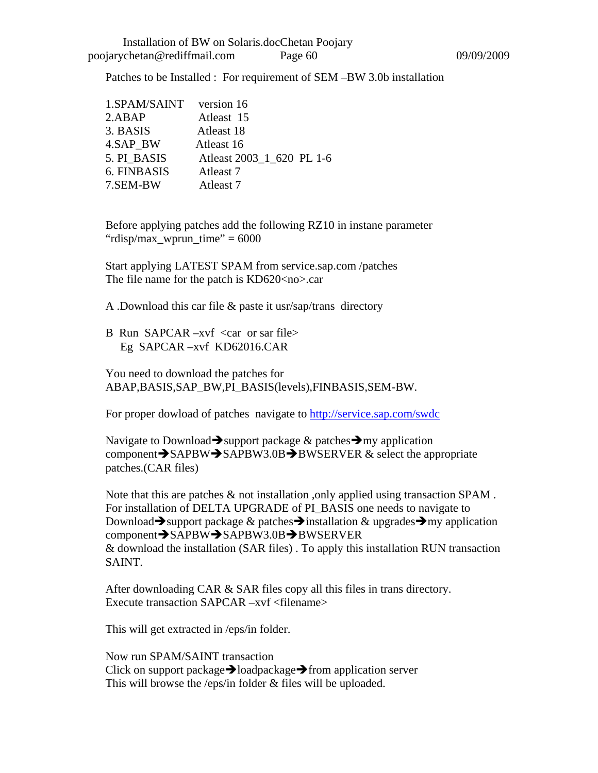Patches to be Installed : For requirement of SEM –BW 3.0b installation

| 1.SPAM/SAINT | version 16                |
|--------------|---------------------------|
| 2.ABAP       | Atleast 15                |
| 3. BASIS     | Atleast 18                |
| 4.SAP BW     | Atleast 16                |
| 5. PI BASIS  | Atleast 2003_1_620 PL 1-6 |
| 6. FINBASIS  | Atleast 7                 |
| 7.SEM-BW     | Atleast 7                 |

Before applying patches add the following RZ10 in instane parameter "rdisp/max\_wprun\_time"  $= 6000$ 

Start applying LATEST SPAM from service.sap.com /patches The file name for the patch is KD620<no>.car

A .Download this car file & paste it usr/sap/trans directory

B Run SAPCAR –xvf  $\langle$ car or sar file $\rangle$ Eg SAPCAR –xvf KD62016.CAR

You need to download the patches for ABAP,BASIS,SAP\_BW,PI\_BASIS(levels),FINBASIS,SEM-BW.

For proper dowload of patches navigate to<http://service.sap.com/swdc>

Navigate to Download  $\rightarrow$  support package  $\&$  patches  $\rightarrow$  my application component $\rightarrow$ SAPBW $\rightarrow$ SAPBW3.0B $\rightarrow$ BWSERVER & select the appropriate patches.(CAR files)

Note that this are patches & not installation ,only applied using transaction SPAM . For installation of DELTA UPGRADE of PI\_BASIS one needs to navigate to Download  $\rightarrow$  support package & patches  $\rightarrow$  installation & upgrades  $\rightarrow$  my application component SAPBW SAPBW3.0B BWSERVER & download the installation (SAR files) . To apply this installation RUN transaction SAINT.

After downloading CAR & SAR files copy all this files in trans directory. Execute transaction SAPCAR –xvf <filename>

This will get extracted in /eps/in folder.

Now run SPAM/SAINT transaction Click on support package $\rightarrow$ loadpackage $\rightarrow$ from application server This will browse the /eps/in folder & files will be uploaded.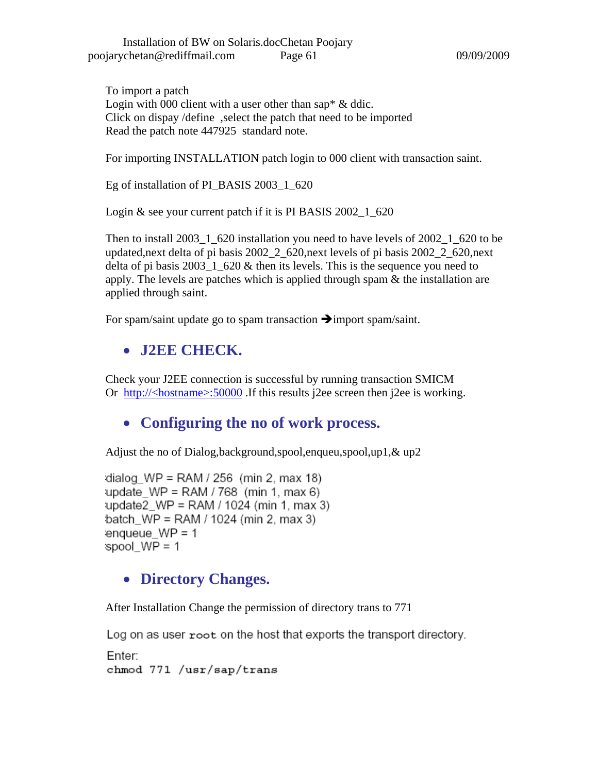To import a patch Login with 000 client with a user other than sap\* & ddic. Click on dispay /define ,select the patch that need to be imported Read the patch note 447925 standard note.

For importing INSTALLATION patch login to 000 client with transaction saint.

Eg of installation of PI\_BASIS 2003\_1\_620

Login & see your current patch if it is PI BASIS 2002<sub>-1</sub>-620

Then to install 2003\_1\_620 installation you need to have levels of 2002\_1\_620 to be updated,next delta of pi basis 2002\_2\_620,next levels of pi basis 2002\_2\_620,next delta of pi basis  $2003\_1\_620$  & then its levels. This is the sequence you need to apply. The levels are patches which is applied through spam & the installation are applied through saint.

For spam/saint update go to spam transaction  $\rightarrow$  import spam/saint.

## • **J2EE CHECK.**

Check your J2EE connection is successful by running transaction SMICM Or [http://<hostname>:50000](http://%3Chostname%3E:50000/) .If this results j2ee screen then j2ee is working.

## • **Configuring the no of work process.**

Adjust the no of Dialog,background,spool,enqueu,spool,up1,& up2

dialog  $WP = RAM / 256$  (min 2, max 18) update  $WP = RAM / 768$  (min 1, max 6) update2  $WP = RAM / 1024$  (min 1, max 3) batch\_WP = RAM /  $1024$  (min 2, max 3) enqueue  $WP = 1$ spool  $WP = 1$ 

### • **Directory Changes.**

After Installation Change the permission of directory trans to 771

Log on as user root on the host that exports the transport directory.

Enter: chmod 771 /usr/sap/trans